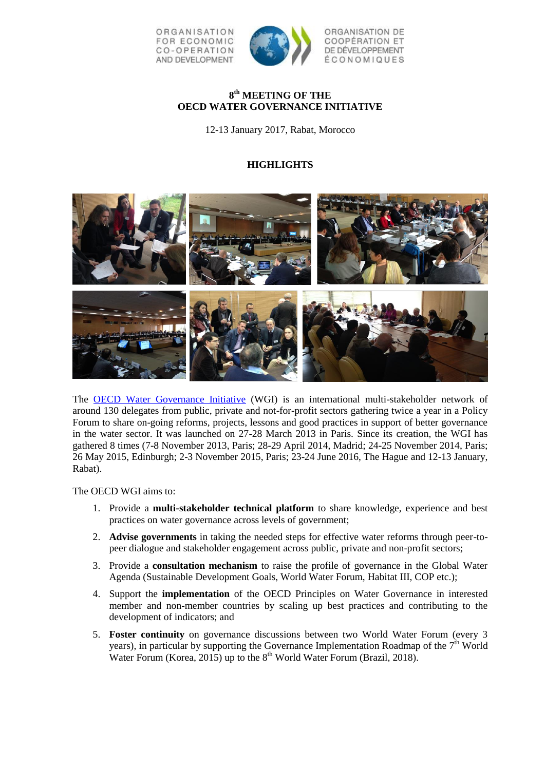

# **8 th MEETING OF THE OECD WATER GOVERNANCE INITIATIVE**

12-13 January 2017, Rabat, Morocco

# **HIGHLIGHTS**



The [OECD Water Governance Initiative](http://www.oecd.org/gov/regional-policy/water-governance-initiative.htm) (WGI) is an international multi-stakeholder network of around 130 delegates from public, private and not-for-profit sectors gathering twice a year in a Policy Forum to share on-going reforms, projects, lessons and good practices in support of better governance in the water sector. It was launched on 27-28 March 2013 in Paris. Since its creation, the WGI has gathered 8 times (7-8 November 2013, Paris; 28-29 April 2014, Madrid; 24-25 November 2014, Paris; 26 May 2015, Edinburgh; 2-3 November 2015, Paris; 23-24 June 2016, The Hague and 12-13 January, Rabat).

The OECD WGI aims to:

- 1. Provide a **multi-stakeholder technical platform** to share knowledge, experience and best practices on water governance across levels of government;
- 2. **Advise governments** in taking the needed steps for effective water reforms through peer-topeer dialogue and stakeholder engagement across public, private and non-profit sectors;
- 3. Provide a **consultation mechanism** to raise the profile of governance in the Global Water Agenda (Sustainable Development Goals, World Water Forum, Habitat III, COP etc.);
- 4. Support the **implementation** of the OECD Principles on Water Governance in interested member and non-member countries by scaling up best practices and contributing to the development of indicators; and
- 5. **Foster continuity** on governance discussions between two World Water Forum (every 3 years), in particular by supporting the Governance Implementation Roadmap of the  $7<sup>th</sup>$  World Water Forum (Korea, 2015) up to the  $8<sup>th</sup>$  World Water Forum (Brazil, 2018).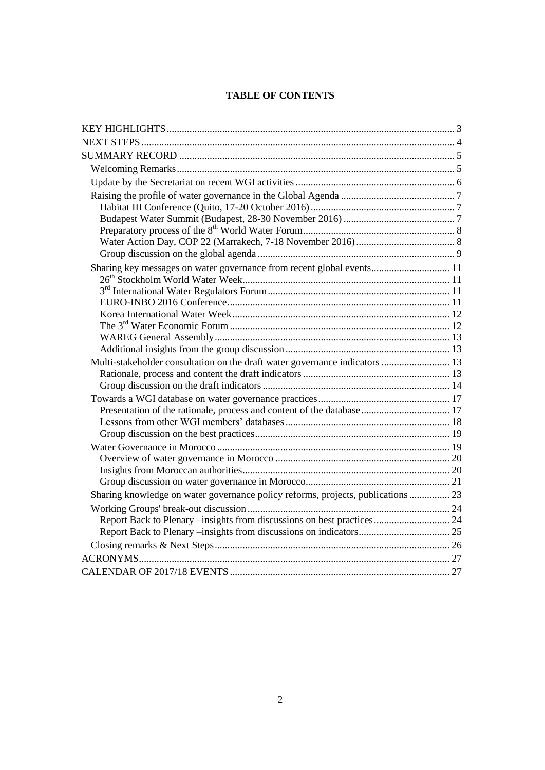# **TABLE OF CONTENTS**

| Sharing key messages on water governance from recent global events 11           |  |
|---------------------------------------------------------------------------------|--|
|                                                                                 |  |
|                                                                                 |  |
|                                                                                 |  |
|                                                                                 |  |
|                                                                                 |  |
|                                                                                 |  |
|                                                                                 |  |
| Multi-stakeholder consultation on the draft water governance indicators  13     |  |
|                                                                                 |  |
|                                                                                 |  |
|                                                                                 |  |
| Presentation of the rationale, process and content of the database 17           |  |
|                                                                                 |  |
|                                                                                 |  |
|                                                                                 |  |
|                                                                                 |  |
|                                                                                 |  |
|                                                                                 |  |
| Sharing knowledge on water governance policy reforms, projects, publications 23 |  |
|                                                                                 |  |
|                                                                                 |  |
|                                                                                 |  |
|                                                                                 |  |
|                                                                                 |  |
|                                                                                 |  |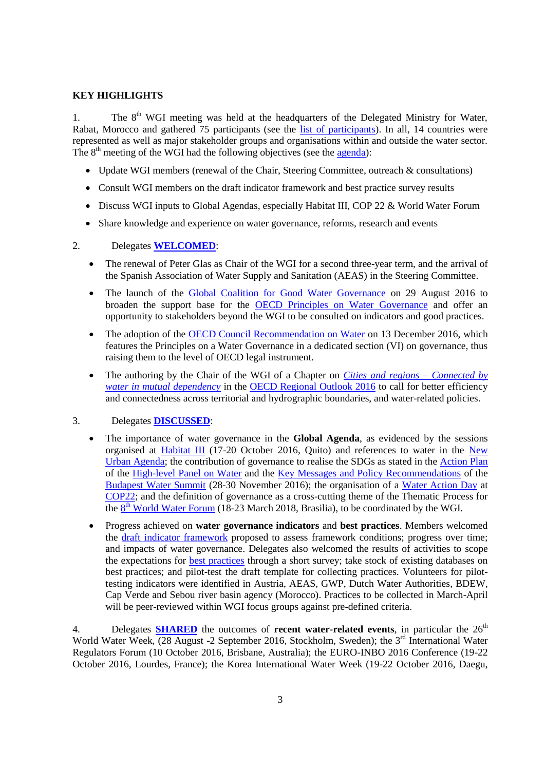## <span id="page-2-0"></span>**KEY HIGHLIGHTS**

1. The  $8<sup>th</sup>$  WGI meeting was held at the headquarters of the Delegated Ministry for Water, Rabat, Morocco and gathered 75 participants (see the [list of participants\)](http://www.oecd.org/gov/regional-policy/WGI-meeting-8-participants.pdfhttp:/www.oecd.org/gov/regional-policy/WGI-meeting-7-participants.pdf). In all, 14 countries were represented as well as major stakeholder groups and organisations within and outside the water sector. The  $8<sup>th</sup>$  meeting of the WGI had the following objectives (see the [agenda\)](http://www.oecd.org/gov/regional-policy/WGI-meeting-7-agenda.pdf):

- Update WGI members (renewal of the Chair, Steering Committee, outreach & consultations)
- Consult WGI members on the draft indicator framework and best practice survey results
- Discuss WGI inputs to Global Agendas, especially Habitat III, COP 22 & World Water Forum
- Share knowledge and experience on water governance, reforms, research and events

## 2. Delegates **WELCOMED**:

- The renewal of Peter Glas as Chair of the WGI for a second three-year term, and the arrival of the Spanish Association of Water Supply and Sanitation (AEAS) in the Steering Committee.
- The launch of the [Global Coalition for Good Water Governance](http://www.oecd.org/gov/regional-policy/Global-Coalition-Good-Water-Governance-Flyer.pdf) on 29 August 2016 to broaden the support base for the [OECD Principles on Water Governance](http://www.oecd.org/gov/regional-policy/oecd-principles-on-water-governance.htm) and offer an opportunity to stakeholders beyond the WGI to be consulted on indicators and good practices.
- The adoption of the [OECD Council Recommendation on Water](https://www.oecd.org/environment/resources/Council-Recommendation-on-water.pdf) on 13 December 2016, which features the Principles on a Water Governance in a dedicated section (VI) on governance, thus raising them to the level of OECD legal instrument.
- The authoring by the Chair of the WGI of a Chapter on *[Cities and regions –](http://www.keepeek.com/Digital-Asset-Management/oecd/urban-rural-and-regional-development/oecd-regional-outlook-2016/cities-and-regions-connected-by-water-in-mutual-dependency_9789264260245-11-en#.WKR2fW8rKUk) Connected by [water in mutual dependency](http://www.keepeek.com/Digital-Asset-Management/oecd/urban-rural-and-regional-development/oecd-regional-outlook-2016/cities-and-regions-connected-by-water-in-mutual-dependency_9789264260245-11-en#.WKR2fW8rKUk)* in the [OECD Regional Outlook 2016](http://www.oecd.org/fr/regional/oecd-regional-outlook-2016-9789264260245-en.htm) to call for better efficiency and connectedness across territorial and hydrographic boundaries, and water-related policies.

#### 3. Delegates **DISCUSSED**:

- The importance of water governance in the **Global Agenda**, as evidenced by the sessions organised at [Habitat III](https://habitat3.org/) (17-20 October 2016, Quito) and references to water in the [New](https://habitat3.org/the-new-urban-agenda/)  [Urban Agenda;](https://habitat3.org/the-new-urban-agenda/) the contribution of governance to realise the SDGs as stated in the [Action Plan](https://sustainabledevelopment.un.org/content/documents/11280HLPW_Action_Plan_DEF_11-1.pdf) of the [High-level Panel on Water](https://sustainabledevelopment.un.org/HLPWater) and the [Key Messages and Policy Recommendations](https://www.budapestwatersummit.hu/budapest-water-summit/budapest-statement/budapest-statement-2016-780/) of the [Budapest Water Summit](https://www.budapestwatersummit.hu/budapest-water-summit/budapest-statement/budapest-statement-2016-780/) (28-30 November 2016); the organisation of a [Water Action Day](https://unfccc.int/files/paris_agreement/application/pdf/gca-water-programme_21102016.pdf) at [COP22;](http://www.cop22-morocco.com/) and the definition of governance as a cross-cutting theme of the Thematic Process for the  $8<sup>th</sup>$  [World Water Forum](http://www.worldwaterforum8.org/) (18-23 March 2018, Brasilia), to be coordinated by the WGI.
- Progress achieved on **water governance indicators** and **best practices**. Members welcomed the [draft indicator framework](http://www.slideshare.net/OECD-GOV/stakeholder-consultation-on-water-governance-indicators-oecd-secretariat) proposed to assess framework conditions; progress over time; and impacts of water governance. Delegates also welcomed the results of activities to scope the expectations for [best practices](http://www.slideshare.net/OECD-GOV/towards-a-database-on-water-governance-practices-oecd-secretariat) through a short survey; take stock of existing databases on best practices; and pilot-test the draft template for collecting practices. Volunteers for pilottesting indicators were identified in Austria, AEAS, GWP, Dutch Water Authorities, BDEW, Cap Verde and Sebou river basin agency (Morocco). Practices to be collected in March-April will be peer-reviewed within WGI focus groups against pre-defined criteria.

4. Delegates **SHARED** the outcomes of **recent water-related events**, in particular the 26<sup>th</sup> World Water Week, (28 August -2 September 2016, Stockholm, Sweden); the 3<sup>rd</sup> International Water Regulators Forum (10 October 2016, Brisbane, Australia); the EURO-INBO 2016 Conference (19-22 October 2016, Lourdes, France); the Korea International Water Week (19-22 October 2016, Daegu,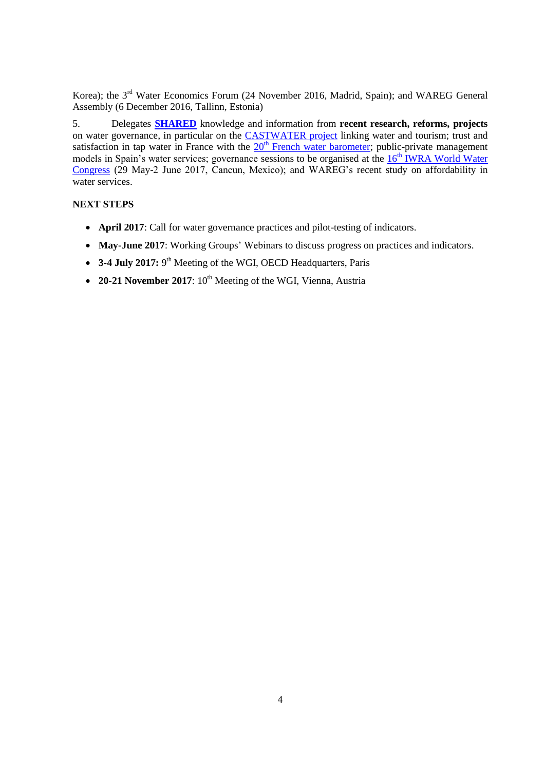Korea); the 3<sup>rd</sup> Water Economics Forum (24 November 2016, Madrid, Spain); and WAREG General Assembly (6 December 2016, Tallinn, Estonia)

5. Delegates **SHARED** knowledge and information from **recent research, reforms, projects** on water governance, in particular on the [CASTWATER project](https://inndeavalencia.com/en/castwater) linking water and tourism; trust and satisfaction in tap water in France with the  $20<sup>th</sup>$  [French water barometer;](http://www.cieau.com/images/presse/CP-baro-2016.pdf) public-private management models in Spain's water services; governance sessions to be organised at the  $16<sup>th</sup> IWRA$  World Water [Congress](http://worldwatercongress.com/) (29 May-2 June 2017, Cancun, Mexico); and WAREG's recent study on affordability in water services.

## <span id="page-3-0"></span>**NEXT STEPS**

- **April 2017**: Call for water governance practices and pilot-testing of indicators.
- **May-June 2017**: Working Groups' Webinars to discuss progress on practices and indicators.
- 3-4 July 2017: 9<sup>th</sup> Meeting of the WGI, OECD Headquarters, Paris
- 20-21 November 2017: 10<sup>th</sup> Meeting of the WGI, Vienna, Austria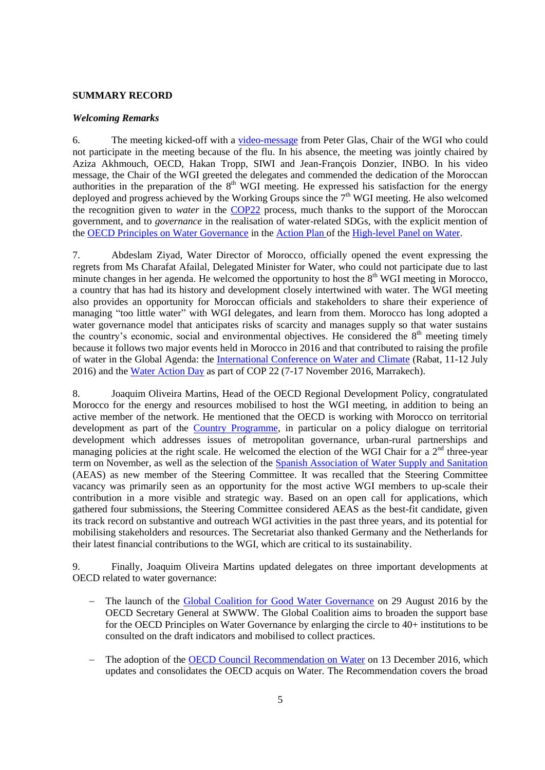### <span id="page-4-0"></span>**SUMMARY RECORD**

#### <span id="page-4-1"></span>*Welcoming Remarks*

6. The meeting kicked-off with a [video-message](https://www.dropbox.com/s/010l7bto1b6au4g/12-13-Janvier%202017%20MD.mp4?dl=0) from Peter Glas, Chair of the WGI who could not participate in the meeting because of the flu. In his absence, the meeting was jointly chaired by Aziza Akhmouch, OECD, Hakan Tropp, SIWI and Jean-François Donzier, INBO. In his video message, the Chair of the WGI greeted the delegates and commended the dedication of the Moroccan authorities in the preparation of the  $8<sup>th</sup>$  WGI meeting. He expressed his satisfaction for the energy deployed and progress achieved by the Working Groups since the  $7<sup>th</sup>$  WGI meeting. He also welcomed the recognition given to *water* in the [COP22](http://www.cop22-morocco.com/) process, much thanks to the support of the Moroccan government, and to *governance* in the realisation of water-related SDGs, with the explicit mention of the [OECD Principles on Water Governance](http://www.oecd.org/gov/regional-policy/oecd-principles-on-water-governance.htm) in th[e Action Plan](https://sustainabledevelopment.un.org/content/documents/11280HLPW_Action_Plan_DEF_11-1.pdf) of the [High-level Panel on Water.](https://sustainabledevelopment.un.org/HLPWater)

7. Abdeslam Ziyad, Water Director of Morocco, officially opened the event expressing the regrets from Ms Charafat Afailal, Delegated Minister for Water, who could not participate due to last minute changes in her agenda. He welcomed the opportunity to host the  $8<sup>th</sup> WGI$  meeting in Morocco, a country that has had its history and development closely intertwined with water. The WGI meeting also provides an opportunity for Moroccan officials and stakeholders to share their experience of managing "too little water" with WGI delegates, and learn from them. Morocco has long adopted a water governance model that anticipates risks of scarcity and manages supply so that water sustains the country's economic, social and environmental objectives. He considered the  $8<sup>th</sup>$  meeting timely because it follows two major events held in Morocco in 2016 and that contributed to raising the profile of water in the Global Agenda: the [International Conference on Water and Climate](http://ciec.water.gov.ma/?lang=en) (Rabat, 11-12 July 2016) and the [Water Action Day](https://unfccc.int/files/paris_agreement/application/pdf/gca-water-programme_21102016.pdf) as part of COP 22 (7-17 November 2016, Marrakech).

8. Joaquim Oliveira Martins, Head of the OECD Regional Development Policy, congratulated Morocco for the energy and resources mobilised to host the WGI meeting, in addition to being an active member of the network. He mentioned that the OECD is working with Morocco on territorial development as part of the [Country Programme,](https://www.oecd.org/countries/morocco/oecd-strengthens-co-operation-with-moroccosigns-morocco-country-programme-agreement.htm) in particular on a policy dialogue on territorial development which addresses issues of metropolitan governance, urban-rural partnerships and managing policies at the right scale. He welcomed the election of the WGI Chair for a  $2<sup>nd</sup>$  three-year term on November, as well as the selection of the [Spanish Association of Water Supply and Sanitation](http://www.aeas.es/servlet/mgc) (AEAS) as new member of the Steering Committee. It was recalled that the Steering Committee vacancy was primarily seen as an opportunity for the most active WGI members to up-scale their contribution in a more visible and strategic way. Based on an open call for applications, which gathered four submissions, the Steering Committee considered AEAS as the best-fit candidate, given its track record on substantive and outreach WGI activities in the past three years, and its potential for mobilising stakeholders and resources. The Secretariat also thanked Germany and the Netherlands for their latest financial contributions to the WGI, which are critical to its sustainability.

9. Finally, Joaquim Oliveira Martins updated delegates on three important developments at OECD related to water governance:

- The launch of the [Global Coalition for Good Water Governance](http://www.oecd.org/gov/regional-policy/Global-Coalition-Good-Water-Governance-Flyer.pdf) on 29 August 2016 by the OECD Secretary General at SWWW. The Global Coalition aims to broaden the support base for the OECD Principles on Water Governance by enlarging the circle to 40+ institutions to be consulted on the draft indicators and mobilised to collect practices.
- The adoption of the [OECD Council Recommendation on Water](https://www.oecd.org/environment/resources/Council-Recommendation-on-water.pdf) on 13 December 2016, which updates and consolidates the OECD acquis on Water. The Recommendation covers the broad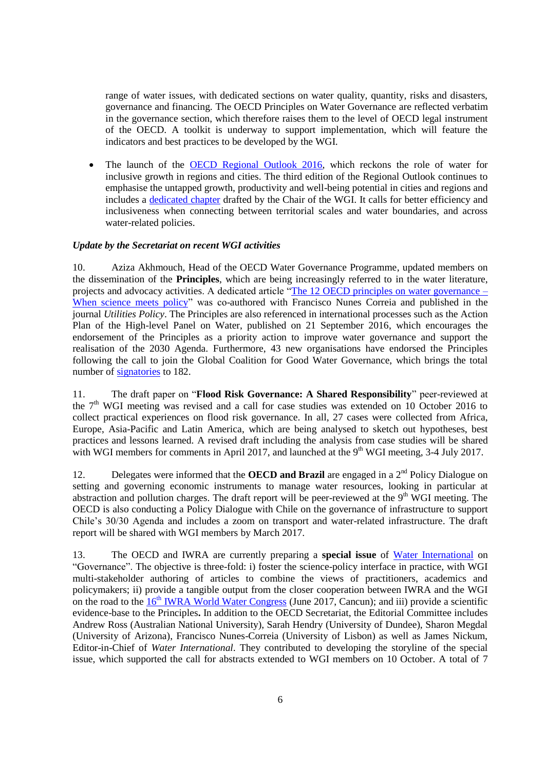range of water issues, with dedicated sections on water quality, quantity, risks and disasters, governance and financing. The OECD Principles on Water Governance are reflected verbatim in the governance section, which therefore raises them to the level of OECD legal instrument of the OECD. A toolkit is underway to support implementation, which will feature the indicators and best practices to be developed by the WGI.

• The launch of the [OECD Regional Outlook 2016,](http://www.oecd.org/fr/regional/oecd-regional-outlook-2016-9789264260245-en.htm) which reckons the role of water for inclusive growth in regions and cities. The third edition of the Regional Outlook continues to emphasise the untapped growth, productivity and well-being potential in cities and regions and includes a dedicated chapter drafted by the Chair of the WGI. It calls for better efficiency and inclusiveness when connecting between territorial scales and water boundaries, and across water-related policies.

## <span id="page-5-0"></span>*Update by the Secretariat on recent WGI activities*

10. Aziza Akhmouch, Head of the OECD Water Governance Programme, updated members on the dissemination of the **Principles**, which are being increasingly referred to in the water literature, projects and advocacy activities. A dedicated article ["The 12 OECD principles on water governance –](http://www.sciencedirect.com/science/article/pii/S0957178715300886) [When science meets policy"](http://www.sciencedirect.com/science/article/pii/S0957178715300886) was co-authored with Francisco Nunes Correia and published in the journal *Utilities Policy*. The Principles are also referenced in international processes such as the Action Plan of the High-level Panel on Water, published on 21 September 2016, which encourages the endorsement of the Principles as a priority action to improve water governance and support the realisation of the 2030 Agenda. Furthermore, 43 new organisations have endorsed the Principles following the call to join the Global Coalition for Good Water Governance, which brings the total number of [signatories](http://www.oecd.org/gov/regional-policy/Global-Coalition-Good-Water-Governance-Flyer.pdf) to 182.

11. The draft paper on "**Flood Risk Governance: A Shared Responsibility**" peer-reviewed at the  $7<sup>th</sup>$  WGI meeting was revised and a call for case studies was extended on 10 October 2016 to collect practical experiences on flood risk governance. In all, 27 cases were collected from Africa, Europe, Asia-Pacific and Latin America, which are being analysed to sketch out hypotheses, best practices and lessons learned. A revised draft including the analysis from case studies will be shared with WGI members for comments in April 2017, and launched at the  $9<sup>th</sup>$  WGI meeting, 3-4 July 2017.

12. Delegates were informed that the **OECD and Brazil** are engaged in a  $2<sup>nd</sup>$  Policy Dialogue on setting and governing economic instruments to manage water resources, looking in particular at abstraction and pollution charges. The draft report will be peer-reviewed at the  $9<sup>th</sup>$  WGI meeting. The OECD is also conducting a Policy Dialogue with Chile on the governance of infrastructure to support Chile's 30/30 Agenda and includes a zoom on transport and water-related infrastructure. The draft report will be shared with WGI members by March 2017.

13. The OECD and IWRA are currently preparing a **special issue** of [Water International](http://www.iwra.org/index.php?page=155) on "Governance". The objective is three-fold: i) foster the science-policy interface in practice, with WGI multi-stakeholder authoring of articles to combine the views of practitioners, academics and policymakers; ii) provide a tangible output from the closer cooperation between IWRA and the WGI on the road to the  $16<sup>th</sup> IWRA$  World Water Congress (June 2017, Cancun); and iii) provide a scientific evidence-base to the Principles**.** In addition to the OECD Secretariat, the Editorial Committee includes Andrew Ross (Australian National University), Sarah Hendry (University of Dundee), Sharon Megdal (University of Arizona), Francisco Nunes-Correia (University of Lisbon) as well as James Nickum, Editor-in-Chief of *Water International*. They contributed to developing the storyline of the special issue, which supported the call for abstracts extended to WGI members on 10 October. A total of 7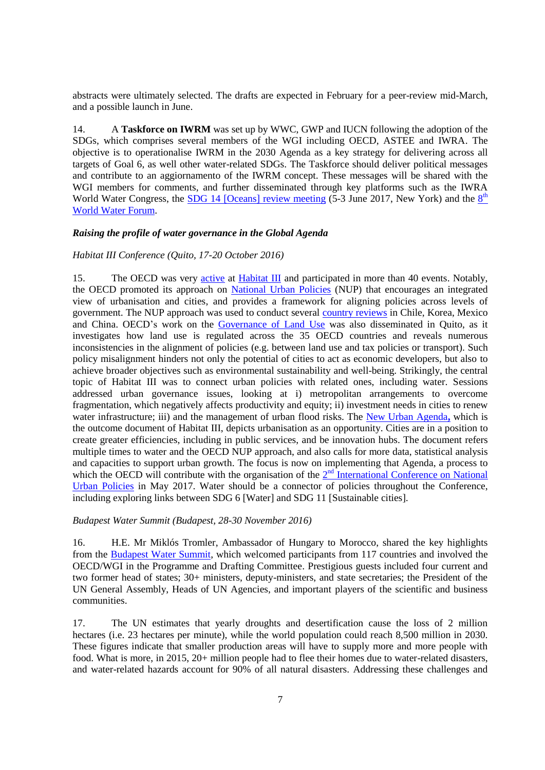abstracts were ultimately selected. The drafts are expected in February for a peer-review mid-March, and a possible launch in June.

14. A **Taskforce on IWRM** was set up by WWC, GWP and IUCN following the adoption of the SDGs, which comprises several members of the WGI including OECD, ASTEE and IWRA. The objective is to operationalise IWRM in the 2030 Agenda as a key strategy for delivering across all targets of Goal 6, as well other water-related SDGs. The Taskforce should deliver political messages and contribute to an aggiornamento of the IWRM concept. These messages will be shared with the WGI members for comments, and further disseminated through key platforms such as the IWRA World Water Congress, the **SDG** 14 [Oceans] [review meeting](https://sustainabledevelopment.un.org/topics/oceans/SDG14Conference) (5-3 June 2017, New York) and the  $8<sup>th</sup>$ [World Water Forum.](http://www.worldwaterforum8.org/)

#### <span id="page-6-0"></span>*Raising the profile of water governance in the Global Agenda*

## <span id="page-6-1"></span>*Habitat III Conference (Quito, 17-20 October 2016)*

15. The OECD was very [active](http://www.oecd.org/gov/putting-national-urban-policies-at-the-heart-of-the-new-urban-agenda.htm) at [Habitat III](https://habitat3.org/) and participated in more than 40 events. Notably, the OECD promoted its approach on [National Urban Policies](http://www.oecd.org/gov/national-urban-policies.htm) (NUP) that encourages an integrated view of urbanisation and cities, and provides a framework for aligning policies across levels of government. The NUP approach was used to conduct several [country reviews](http://www.oecd.org/regional/regional-policy/urbanmetroreviews.htm#NationalLevelUrbanPolicyReviews) in Chile, Korea, Mexico and China. OECD's work on the [Governance of Land Use](http://www.oecd.org/gov/regional-policy/governance-of-land-use-policy-highlights.pdf) was also disseminated in Quito, as it investigates how land use is regulated across the 35 OECD countries and reveals numerous inconsistencies in the alignment of policies (e.g. between land use and tax policies or transport). Such policy misalignment hinders not only the potential of cities to act as economic developers, but also to achieve broader objectives such as environmental sustainability and well-being. Strikingly, the central topic of Habitat III was to connect urban policies with related ones, including water. Sessions addressed urban governance issues, looking at i) metropolitan arrangements to overcome fragmentation, which negatively affects productivity and equity; ii) investment needs in cities to renew water infrastructure; iii) and the management of urban flood risks. The [New Urban Agenda](https://habitat3.org/the-new-urban-agenda/)**,** which is the outcome document of Habitat III, depicts urbanisation as an opportunity. Cities are in a position to create greater efficiencies, including in public services, and be innovation hubs. The document refers multiple times to water and the OECD NUP approach, and also calls for more data, statistical analysis and capacities to support urban growth. The focus is now on implementing that Agenda, a process to which the OECD will contribute with the organisation of the  $2<sup>nd</sup>$  International Conference on National [Urban Policies](http://unhabitat.org.ir/wp-content/uploads/2016/11/Save-the-date-NUP-in-Paris.pdf) in May 2017. Water should be a connector of policies throughout the Conference, including exploring links between SDG 6 [Water] and SDG 11 [Sustainable cities].

#### <span id="page-6-2"></span>*Budapest Water Summit (Budapest, 28-30 November 2016)*

16. H.E. Mr Miklós Tromler, Ambassador of Hungary to Morocco, shared the key highlights from the [Budapest Water Summit,](https://www.budapestwatersummit.hu/budapest-water-summit/budapest-statement/budapest-statement-2016-780/) which welcomed participants from 117 countries and involved the OECD/WGI in the Programme and Drafting Committee. Prestigious guests included four current and two former head of states; 30+ ministers, deputy-ministers, and state secretaries; the President of the UN General Assembly, Heads of UN Agencies, and important players of the scientific and business communities.

17. The UN estimates that yearly droughts and desertification cause the loss of 2 million hectares (i.e. 23 hectares per minute), while the world population could reach 8,500 million in 2030. These figures indicate that smaller production areas will have to supply more and more people with food. What is more, in 2015, 20+ million people had to flee their homes due to water-related disasters, and water-related hazards account for 90% of all natural disasters. Addressing these challenges and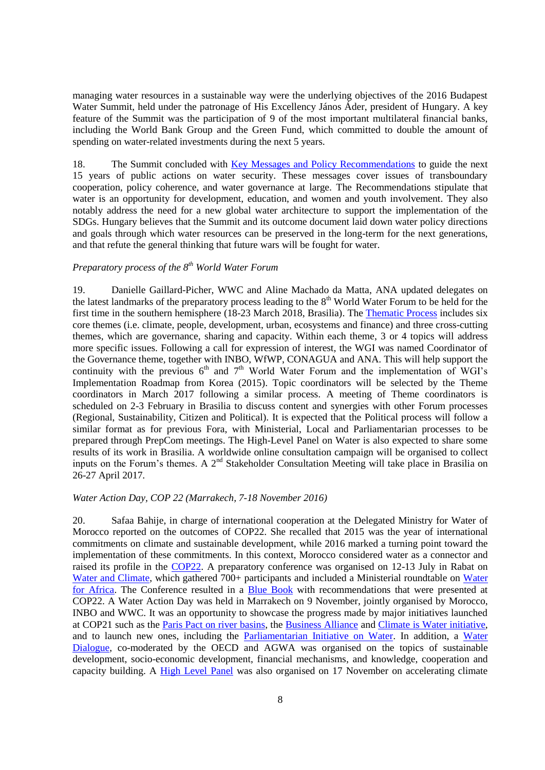managing water resources in a sustainable way were the underlying objectives of the 2016 Budapest Water Summit, held under the patronage of His Excellency János Áder, president of Hungary. A key feature of the Summit was the participation of 9 of the most important multilateral financial banks, including the World Bank Group and the Green Fund, which committed to double the amount of spending on water-related investments during the next 5 years.

18. The Summit concluded with [Key Messages and Policy Recommendations](https://www.budapestwatersummit.hu/budapest-water-summit/budapest-statement/budapest-statement-2016-780/) to guide the next 15 years of public actions on water security. These messages cover issues of transboundary cooperation, policy coherence, and water governance at large. The Recommendations stipulate that water is an opportunity for development, education, and women and youth involvement. They also notably address the need for a new global water architecture to support the implementation of the SDGs. Hungary believes that the Summit and its outcome document laid down water policy directions and goals through which water resources can be preserved in the long-term for the next generations, and that refute the general thinking that future wars will be fought for water.

# <span id="page-7-0"></span>*Preparatory process of the 8th World Water Forum*

19. Danielle Gaillard-Picher, WWC and Aline Machado da Matta, ANA updated delegates on the latest landmarks of the preparatory process leading to the  $8<sup>th</sup>$  World Water Forum to be held for the first time in the southern hemisphere (18-23 March 2018, Brasilia). The [Thematic Process](http://www.worldwatercouncil.org/fileadmin/world_water_council/documents/world_water_forum_8/Thematic%20Framework%208th%20World%20Water%20Forum.pdf) includes six core themes (i.e. climate, people, development, urban, ecosystems and finance) and three cross-cutting themes, which are governance, sharing and capacity. Within each theme, 3 or 4 topics will address more specific issues. Following a call for expression of interest, the WGI was named Coordinator of the Governance theme, together with INBO, WfWP, CONAGUA and ANA. This will help support the continuity with the previous  $6<sup>th</sup>$  and  $7<sup>th</sup>$  World Water Forum and the implementation of WGI's Implementation Roadmap from Korea (2015). Topic coordinators will be selected by the Theme coordinators in March 2017 following a similar process. A meeting of Theme coordinators is scheduled on 2-3 February in Brasilia to discuss content and synergies with other Forum processes (Regional, Sustainability, Citizen and Political). It is expected that the Political process will follow a similar format as for previous Fora, with Ministerial, Local and Parliamentarian processes to be prepared through PrepCom meetings. The High-Level Panel on Water is also expected to share some results of its work in Brasilia. A worldwide online consultation campaign will be organised to collect inputs on the Forum's themes. A  $2<sup>nd</sup>$  Stakeholder Consultation Meeting will take place in Brasilia on 26-27 April 2017.

## <span id="page-7-1"></span>*Water Action Day, COP 22 (Marrakech, 7-18 November 2016)*

20. Safaa Bahije, in charge of international cooperation at the Delegated Ministry for Water of Morocco reported on the outcomes of COP22. She recalled that 2015 was the year of international commitments on climate and sustainable development, while 2016 marked a turning point toward the implementation of these commitments. In this context, Morocco considered water as a connector and raised its profile in the [COP22.](http://www.cop22-morocco.com/) A preparatory conference was organised on 12-13 July in Rabat on [Water and Climate,](http://ciec.water.gov.ma/?lang=en) which gathered 700+ participants and included a Ministerial roundtable on Water [for Africa.](http://www.riob.org/IMG/pdf/The_Rabat_Call_-_Water_for_Africa.pdf) The Conference resulted in a [Blue Book](http://www.pseau.org/outils/ouvrages/ma_ministere_delegue_charge_de_l_eau_water_and_climate_blue_book_2016.pdf) with recommendations that were presented at COP22. A Water Action Day was held in Marrakech on 9 November, jointly organised by Morocco, INBO and WWC. It was an opportunity to showcase the progress made by major initiatives launched at COP21 such as the *Paris Pact on river basins*, the *Business Alliance* and *Climate is Water initiative*, and to launch new ones, including the [Parliamentarian Initiative on Water.](http://www.unece.org/fileadmin/DAM/env/water/meetings/Water_Convention/2016/10Oct_From_Practitioner_to_Practitioner/International_Network_of_Parliamentarian_for_Water.pdf) In addition, a [Water](https://unfccc.int/files/paris_agreement/application/pdf/gca-water-programme_21102016.pdf)  [Dialogue,](https://unfccc.int/files/paris_agreement/application/pdf/gca-water-programme_21102016.pdf) co-moderated by the OECD and AGWA was organised on the topics of sustainable development, socio-economic development, financial mechanisms, and knowledge, cooperation and capacity building. A [High Level Panel](http://climateaction.unfccc.int/event-calendar/events/cop22-gca-hle/) was also organised on 17 November on accelerating climate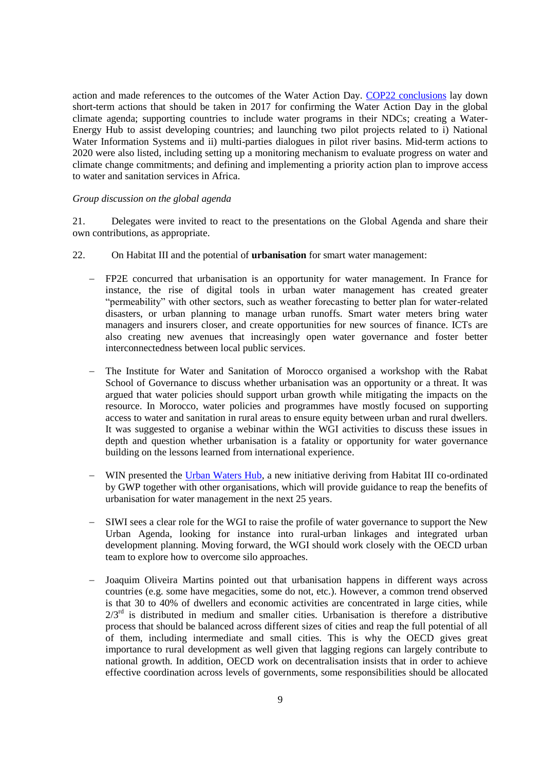action and made references to the outcomes of the Water Action Day. [COP22 conclusions](http://unfccc.int/files/meetings/marrakech_nov_2016/application/pdf/marrakech_action_proclamation.pdf) lay down short-term actions that should be taken in 2017 for confirming the Water Action Day in the global climate agenda; supporting countries to include water programs in their NDCs; creating a Water-Energy Hub to assist developing countries; and launching two pilot projects related to i) National Water Information Systems and ii) multi-parties dialogues in pilot river basins. Mid-term actions to 2020 were also listed, including setting up a monitoring mechanism to evaluate progress on water and climate change commitments; and defining and implementing a priority action plan to improve access to water and sanitation services in Africa.

#### <span id="page-8-0"></span>*Group discussion on the global agenda*

21. Delegates were invited to react to the presentations on the Global Agenda and share their own contributions, as appropriate.

- 22. On Habitat III and the potential of **urbanisation** for smart water management:
	- FP2E concurred that urbanisation is an opportunity for water management. In France for instance, the rise of digital tools in urban water management has created greater "permeability" with other sectors, such as weather forecasting to better plan for water-related disasters, or urban planning to manage urban runoffs. Smart water meters bring water managers and insurers closer, and create opportunities for new sources of finance. ICTs are also creating new avenues that increasingly open water governance and foster better interconnectedness between local public services.
	- The Institute for Water and Sanitation of Morocco organised a workshop with the Rabat School of Governance to discuss whether urbanisation was an opportunity or a threat. It was argued that water policies should support urban growth while mitigating the impacts on the resource. In Morocco, water policies and programmes have mostly focused on supporting access to water and sanitation in rural areas to ensure equity between urban and rural dwellers. It was suggested to organise a webinar within the WGI activities to discuss these issues in depth and question whether urbanisation is a fatality or opportunity for water governance building on the lessons learned from international experience.
	- WIN presented the [Urban Waters Hub,](http://gwopa.org/en/gwopa-news/waters-hub-launch) a new initiative deriving from Habitat III co-ordinated by GWP together with other organisations, which will provide guidance to reap the benefits of urbanisation for water management in the next 25 years.
	- SIWI sees a clear role for the WGI to raise the profile of water governance to support the New Urban Agenda, looking for instance into rural-urban linkages and integrated urban development planning. Moving forward, the WGI should work closely with the OECD urban team to explore how to overcome silo approaches.
	- Joaquim Oliveira Martins pointed out that urbanisation happens in different ways across countries (e.g. some have megacities, some do not, etc.). However, a common trend observed is that 30 to 40% of dwellers and economic activities are concentrated in large cities, while  $2/3<sup>rd</sup>$  is distributed in medium and smaller cities. Urbanisation is therefore a distributive process that should be balanced across different sizes of cities and reap the full potential of all of them, including intermediate and small cities. This is why the OECD gives great importance to rural development as well given that lagging regions can largely contribute to national growth. In addition, OECD work on decentralisation insists that in order to achieve effective coordination across levels of governments, some responsibilities should be allocated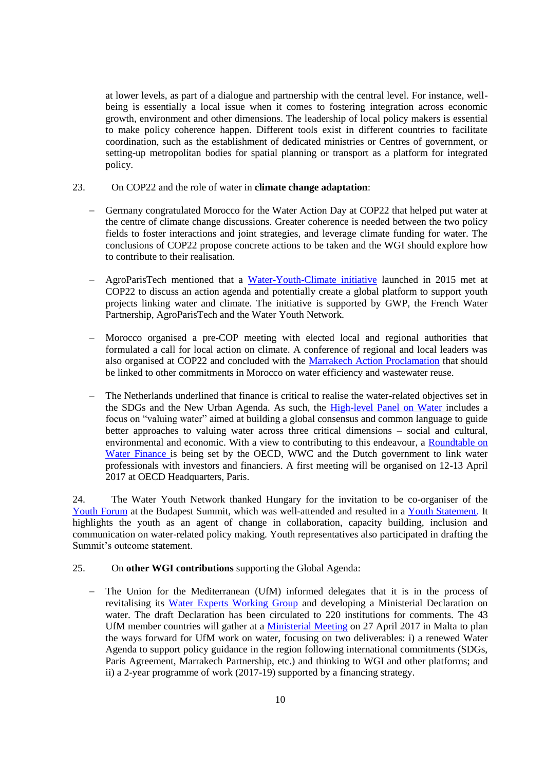at lower levels, as part of a dialogue and partnership with the central level. For instance, wellbeing is essentially a local issue when it comes to fostering integration across economic growth, environment and other dimensions. The leadership of local policy makers is essential to make policy coherence happen. Different tools exist in different countries to facilitate coordination, such as the establishment of dedicated ministries or Centres of government, or setting-up metropolitan bodies for spatial planning or transport as a platform for integrated policy.

## 23. On COP22 and the role of water in **climate change adaptation**:

- Germany congratulated Morocco for the Water Action Day at COP22 that helped put water at the centre of climate change discussions. Greater coherence is needed between the two policy fields to foster interactions and joint strategies, and leverage climate funding for water. The conclusions of COP22 propose concrete actions to be taken and the WGI should explore how to contribute to their realisation.
- AgroParisTech mentioned that a [Water-Youth-Climate initiative](http://www.gwp.org/en/gwp-in-action/youth-portal/) launched in 2015 met at COP22 to discuss an action agenda and potentially create a global platform to support youth projects linking water and climate. The initiative is supported by GWP, the French Water Partnership, AgroParisTech and the Water Youth Network.
- Morocco organised a pre-COP meeting with elected local and regional authorities that formulated a call for local action on climate. A conference of regional and local leaders was also organised at COP22 and concluded with the [Marrakech Action Proclamation](https://unfccc.int/files/meetings/marrakech_nov_2016/application/pdf/marrakech_action_proclamation.pdf) that should be linked to other commitments in Morocco on water efficiency and wastewater reuse.
- The Netherlands underlined that finance is critical to realise the water-related objectives set in the SDGs and the New Urban Agenda. As such, the [High-level Panel on Water](https://sustainabledevelopment.un.org/HLPWater) includes a focus on "valuing water" aimed at building a global consensus and common language to guide better approaches to valuing water across three critical dimensions – social and cultural, environmental and economic. With a view to contributing to this endeavour, a [Roundtable on](https://issuu.com/oecd.publishing/docs/roundtable_on_water_finance_-_flyer)  Water [Finance](https://issuu.com/oecd.publishing/docs/roundtable_on_water_finance_-_flyer) is being set by the OECD, WWC and the Dutch government to link water professionals with investors and financiers. A first meeting will be organised on 12-13 April 2017 at OECD Headquarters, Paris.

24. The Water Youth Network thanked Hungary for the invitation to be co-organiser of the [Youth Forum](https://www.budapestwatersummit.hu/budapest-water-summit/youth-forum/) at the Budapest Summit, which was well-attended and resulted in a [Youth Statement.](http://www.wateryouthnetwork.org/wp-content/uploads/2017/02/BWS_YouthStatement2016_final2.pdf) It highlights the youth as an agent of change in collaboration, capacity building, inclusion and communication on water-related policy making. Youth representatives also participated in drafting the Summit's outcome statement.

## 25. On **other WGI contributions** supporting the Global Agenda:

- The Union for the Mediterranean (UfM) informed delegates that it is in the process of revitalising its [Water Experts Working Group](http://ufmsecretariat.org/water-environment/) and developing a Ministerial Declaration on water. The draft Declaration has been circulated to 220 institutions for comments. The 43 UfM member countries will gather at a [Ministerial Meeting](http://ufmsecretariat.org/fr/euro-mediterranean-ministerial-conference-on-research-and-innovation/) on 27 April 2017 in Malta to plan the ways forward for UfM work on water, focusing on two deliverables: i) a renewed Water Agenda to support policy guidance in the region following international commitments (SDGs, Paris Agreement, Marrakech Partnership, etc.) and thinking to WGI and other platforms; and ii) a 2-year programme of work (2017-19) supported by a financing strategy.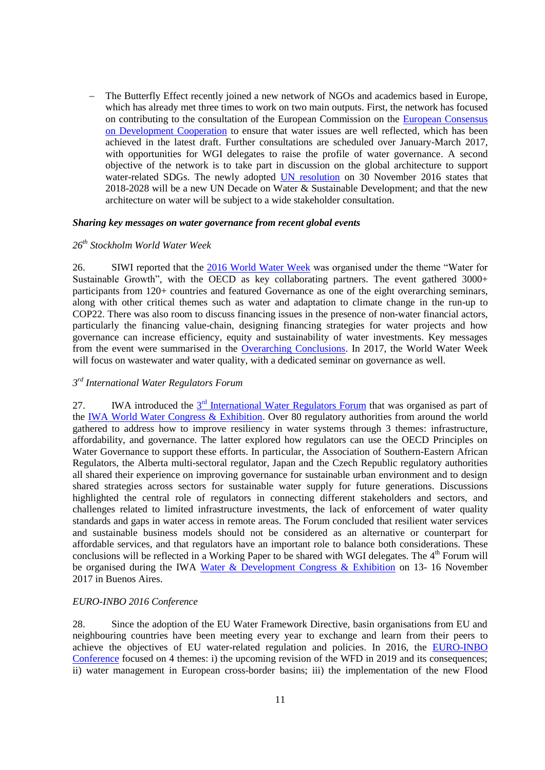The Butterfly Effect recently joined a new network of NGOs and academics based in Europe, which has already met three times to work on two main outputs. First, the network has focused on contributing to the consultation of the European Commission on the [European Consensus](http://ec.europa.eu/europeaid/policies/european-development-policy/european-consensus-development_en)  [on Development Cooperation](http://ec.europa.eu/europeaid/policies/european-development-policy/european-consensus-development_en) to ensure that water issues are well reflected, which has been achieved in the latest draft. Further consultations are scheduled over January-March 2017, with opportunities for WGI delegates to raise the profile of water governance. A second objective of the network is to take part in discussion on the global architecture to support water-related SDGs. The newly adopted [UN resolution](https://www.un.org/press/en/2016/gaef3467.doc.htm) on 30 November 2016 states that 2018-2028 will be a new UN Decade on Water & Sustainable Development; and that the new architecture on water will be subject to a wide stakeholder consultation.

#### <span id="page-10-0"></span>*Sharing key messages on water governance from recent global events*

### <span id="page-10-1"></span>*26th Stockholm World Water Week*

26. SIWI reported that the [2016 World Water Week](http://www.worldwaterweek.org/) was organised under the theme "Water for Sustainable Growth", with the OECD as key collaborating partners. The event gathered 3000+ participants from 120+ countries and featured Governance as one of the eight overarching seminars, along with other critical themes such as water and adaptation to climate change in the run-up to COP22. There was also room to discuss financing issues in the presence of non-water financial actors, particularly the financing value-chain, designing financing strategies for water projects and how governance can increase efficiency, equity and sustainability of water investments. Key messages from the event were summarised in the [Overarching Conclusions.](http://www.siwi.org/wp-content/uploads/2016/10/2016-Overarching-conclusions-web-2.pdf) In 2017, the World Water Week will focus on wastewater and water quality, with a dedicated seminar on governance as well.

# <span id="page-10-2"></span>*3 rd International Water Regulators Forum*

27. IWA introduced the 3<sup>rd</sup> [International Water Regulators Forum](http://www.iwa-network.org/event/world-water-congress-exhibition-2016/international-water-regulators-forum/) that was organised as part of the [IWA World Water Congress & Exhibition.](http://www.iwa-network.org/event/world-water-congress-exhibition-2016/international-water-regulators-forum/) Over 80 regulatory authorities from around the world gathered to address how to improve resiliency in water systems through 3 themes: infrastructure, affordability, and governance. The latter explored how regulators can use the OECD Principles on Water Governance to support these efforts. In particular, the Association of Southern-Eastern African Regulators, the Alberta multi-sectoral regulator, Japan and the Czech Republic regulatory authorities all shared their experience on improving governance for sustainable urban environment and to design shared strategies across sectors for sustainable water supply for future generations. Discussions highlighted the central role of regulators in connecting different stakeholders and sectors, and challenges related to limited infrastructure investments, the lack of enforcement of water quality standards and gaps in water access in remote areas. The Forum concluded that resilient water services and sustainable business models should not be considered as an alternative or counterpart for affordable services, and that regulators have an important role to balance both considerations. These conclusions will be reflected in a Working Paper to be shared with WGI delegates. The  $4<sup>th</sup>$  Forum will be organised during the IWA [Water & Development Congress & Exhibition](file://///main.oecd.org/sdataGOV/Applic/TERRITORIAL/Water%20Governance/WGI/PLENARY%20MEETINGS/8th%20Meeting_12-13%20January%202017/HIGHLIGHT/e) on 13-16 November 2017 in Buenos Aires.

#### <span id="page-10-3"></span>*EURO-INBO 2016 Conference*

28. Since the adoption of the EU Water Framework Directive, basin organisations from EU and neighbouring countries have been meeting every year to exchange and learn from their peers to achieve the objectives of EU water-related regulation and policies. In 2016, the [EURO-INBO](http://www.inbo-news.org/inbo/papers-and-photos-of-past-events/article/europe-inbo-2016)  [Conference](http://www.inbo-news.org/inbo/papers-and-photos-of-past-events/article/europe-inbo-2016) focused on 4 themes: i) the upcoming revision of the WFD in 2019 and its consequences; ii) water management in European cross-border basins; iii) the implementation of the new Flood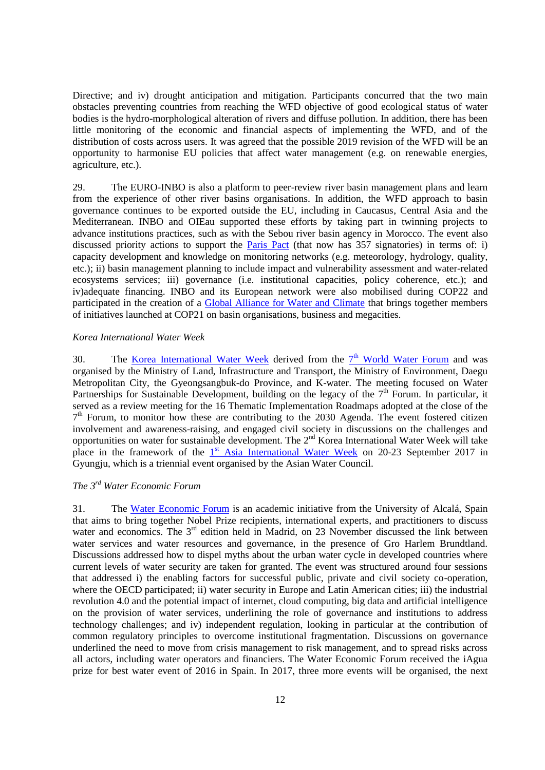Directive; and iv) drought anticipation and mitigation. Participants concurred that the two main obstacles preventing countries from reaching the WFD objective of good ecological status of water bodies is the hydro-morphological alteration of rivers and diffuse pollution. In addition, there has been little monitoring of the economic and financial aspects of implementing the WFD, and of the distribution of costs across users. It was agreed that the possible 2019 revision of the WFD will be an opportunity to harmonise EU policies that affect water management (e.g. on renewable energies, agriculture, etc.).

29. The EURO-INBO is also a platform to peer-review river basin management plans and learn from the experience of other river basins organisations. In addition, the WFD approach to basin governance continues to be exported outside the EU, including in Caucasus, Central Asia and the Mediterranean. INBO and OIEau supported these efforts by taking part in twinning projects to advance institutions practices, such as with the Sebou river basin agency in Morocco. The event also discussed priority actions to support the [Paris Pact](http://www.riob.org/IMG/pdf/Pacte_Paris_Eng_version_Non_COP_v17.pdf) (that now has 357 signatories) in terms of: i) capacity development and knowledge on monitoring networks (e.g. meteorology, hydrology, quality, etc.); ii) basin management planning to include impact and vulnerability assessment and water-related ecosystems services; iii) governance (i.e. institutional capacities, policy coherence, etc.); and iv)adequate financing. INBO and its European network were also mobilised during COP22 and participated in the creation of a [Global Alliance for Water and Climate](http://riob.org/IMG/pdf/Declaration_Alliances_annexes.pdf) that brings together members of initiatives launched at COP21 on basin organisations, business and megacities.

## <span id="page-11-0"></span>*Korea International Water Week*

30. The <u>[Korea International Water Week](http://kiww.org/)</u> derived from the 7<sup>th</sup> [World Water Forum](http://worldwaterforum7.org/main/) and was organised by the Ministry of Land, Infrastructure and Transport, the Ministry of Environment, Daegu Metropolitan City, the Gyeongsangbuk-do Province, and K-water. The meeting focused on Water Partnerships for Sustainable Development, building on the legacy of the  $7<sup>th</sup>$  Forum. In particular, it served as a review meeting for the 16 Thematic Implementation Roadmaps adopted at the close of the 7<sup>th</sup> Forum, to monitor how these are contributing to the 2030 Agenda. The event fostered citizen involvement and awareness-raising, and engaged civil society in discussions on the challenges and opportunities on water for sustainable development. The  $2<sup>nd</sup>$  Korea International Water Week will take place in the framework of the 1<sup>st</sup> [Asia International Water Week](http://www.asiawatercouncil.org/frontend/inf/selectPageFAQTAIWInfo.do;jsessionid=1457EA8C662C4ABF206C3B80F4B5503C) on 20-23 September 2017 in Gyungju, which is a triennial event organised by the Asian Water Council.

# <span id="page-11-1"></span>*The 3rd Water Economic Forum*

31. The [Water Economic Forum](http://forodelaeconomiadelagua.org/) is an academic initiative from the University of Alcalá, Spain that aims to bring together Nobel Prize recipients, international experts, and practitioners to discuss water and economics. The 3<sup>rd</sup> edition held in Madrid, on 23 November discussed the link between water services and water resources and governance, in the presence of Gro Harlem Brundtland. Discussions addressed how to dispel myths about the urban water cycle in developed countries where current levels of water security are taken for granted. The event was structured around four sessions that addressed i) the enabling factors for successful public, private and civil society co-operation, where the OECD participated; ii) water security in Europe and Latin American cities; iii) the industrial revolution 4.0 and the potential impact of internet, cloud computing, big data and artificial intelligence on the provision of water services, underlining the role of governance and institutions to address technology challenges; and iv) independent regulation, looking in particular at the contribution of common regulatory principles to overcome institutional fragmentation. Discussions on governance underlined the need to move from crisis management to risk management, and to spread risks across all actors, including water operators and financiers. The Water Economic Forum received the iAgua prize for best water event of 2016 in Spain. In 2017, three more events will be organised, the next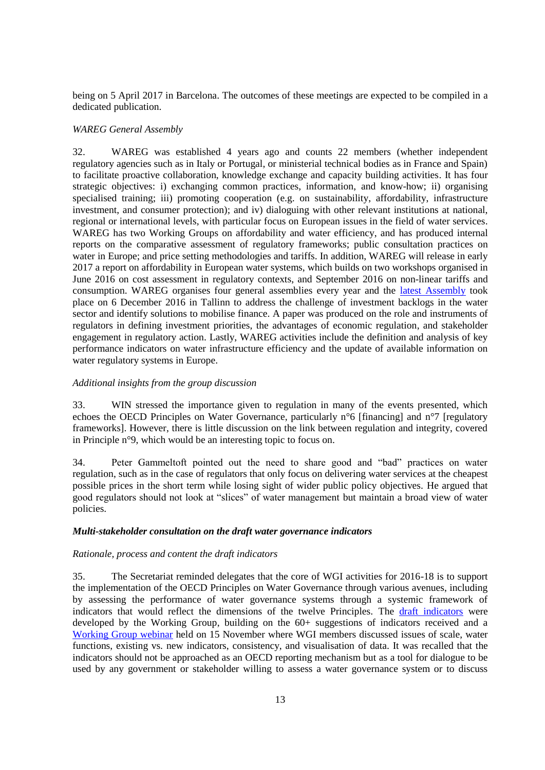being on 5 April 2017 in Barcelona. The outcomes of these meetings are expected to be compiled in a dedicated publication.

## <span id="page-12-0"></span>*WAREG General Assembly*

32. WAREG was established 4 years ago and counts 22 members (whether independent regulatory agencies such as in Italy or Portugal, or ministerial technical bodies as in France and Spain) to facilitate proactive collaboration, knowledge exchange and capacity building activities. It has four strategic objectives: i) exchanging common practices, information, and know-how; ii) organising specialised training; iii) promoting cooperation (e.g. on sustainability, affordability, infrastructure investment, and consumer protection); and iv) dialoguing with other relevant institutions at national, regional or international levels, with particular focus on European issues in the field of water services. WAREG has two Working Groups on affordability and water efficiency, and has produced internal reports on the comparative assessment of regulatory frameworks; public consultation practices on water in Europe; and price setting methodologies and tariffs. In addition, WAREG will release in early 2017 a report on affordability in European water systems, which builds on two workshops organised in June 2016 on cost assessment in regulatory contexts, and September 2016 on non-linear tariffs and consumption. WAREG organises four general assemblies every year and the [latest Assembly](http://www.wareg.org/news.php?q=detail&id=5) took place on 6 December 2016 in Tallinn to address the challenge of investment backlogs in the water sector and identify solutions to mobilise finance. A paper was produced on the role and instruments of regulators in defining investment priorities, the advantages of economic regulation, and stakeholder engagement in regulatory action. Lastly, WAREG activities include the definition and analysis of key performance indicators on water infrastructure efficiency and the update of available information on water regulatory systems in Europe.

#### <span id="page-12-1"></span>*Additional insights from the group discussion*

33. WIN stressed the importance given to regulation in many of the events presented, which echoes the OECD Principles on Water Governance, particularly n°6 [financing] and n°7 [regulatory frameworks]. However, there is little discussion on the link between regulation and integrity, covered in Principle n°9, which would be an interesting topic to focus on.

34. Peter Gammeltoft pointed out the need to share good and "bad" practices on water regulation, such as in the case of regulators that only focus on delivering water services at the cheapest possible prices in the short term while losing sight of wider public policy objectives. He argued that good regulators should not look at "slices" of water management but maintain a broad view of water policies.

#### <span id="page-12-2"></span>*Multi-stakeholder consultation on the draft water governance indicators*

#### <span id="page-12-3"></span>*Rationale, process and content the draft indicators*

35. The Secretariat reminded delegates that the core of WGI activities for 2016-18 is to support the implementation of the OECD Principles on Water Governance through various avenues, including by assessing the performance of water governance systems through a systemic framework of indicators that would reflect the dimensions of the twelve Principles. The [draft indicators](http://www.slideshare.net/OECD-GOV/stakeholder-consultation-on-water-governance-indicators-oecd-secretariat) were developed by the Working Group, building on the 60+ suggestions of indicators received and a [Working Group webinar](http://www.oecd.org/gov/regional-policy/Summary-Webinar-Indicators-15Nov16.pdf) held on 15 November where WGI members discussed issues of scale, water functions, existing vs. new indicators, consistency, and visualisation of data. It was recalled that the indicators should not be approached as an OECD reporting mechanism but as a tool for dialogue to be used by any government or stakeholder willing to assess a water governance system or to discuss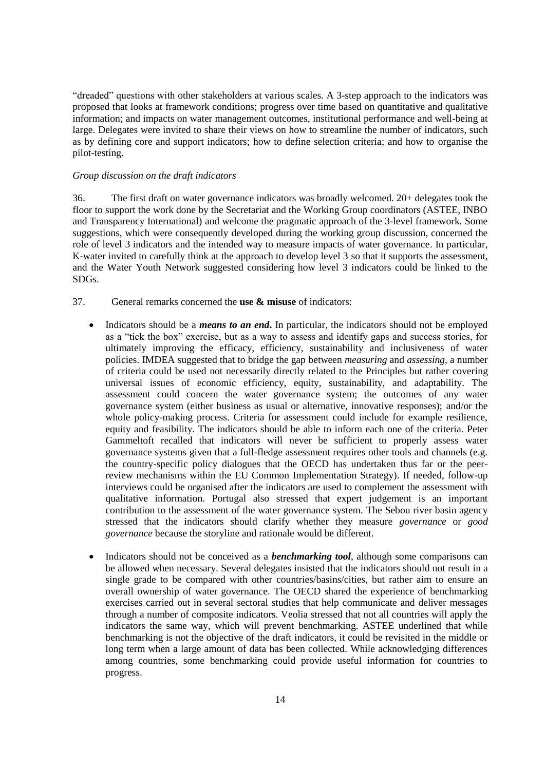"dreaded" questions with other stakeholders at various scales. A 3-step approach to the indicators was proposed that looks at framework conditions; progress over time based on quantitative and qualitative information; and impacts on water management outcomes, institutional performance and well-being at large. Delegates were invited to share their views on how to streamline the number of indicators, such as by defining core and support indicators; how to define selection criteria; and how to organise the pilot-testing.

## <span id="page-13-0"></span>*Group discussion on the draft indicators*

36. The first draft on water governance indicators was broadly welcomed. 20+ delegates took the floor to support the work done by the Secretariat and the Working Group coordinators (ASTEE, INBO and Transparency International) and welcome the pragmatic approach of the 3-level framework. Some suggestions, which were consequently developed during the working group discussion, concerned the role of level 3 indicators and the intended way to measure impacts of water governance. In particular, K-water invited to carefully think at the approach to develop level 3 so that it supports the assessment, and the Water Youth Network suggested considering how level 3 indicators could be linked to the SDGs.

- 37. General remarks concerned the **use & misuse** of indicators:
	- Indicators should be a *means to an end*. In particular, the indicators should not be employed as a "tick the box" exercise, but as a way to assess and identify gaps and success stories, for ultimately improving the efficacy, efficiency, sustainability and inclusiveness of water policies. IMDEA suggested that to bridge the gap between *measuring* and *assessing*, a number of criteria could be used not necessarily directly related to the Principles but rather covering universal issues of economic efficiency, equity, sustainability, and adaptability. The assessment could concern the water governance system; the outcomes of any water governance system (either business as usual or alternative, innovative responses); and/or the whole policy-making process. Criteria for assessment could include for example resilience, equity and feasibility. The indicators should be able to inform each one of the criteria. Peter Gammeltoft recalled that indicators will never be sufficient to properly assess water governance systems given that a full-fledge assessment requires other tools and channels (e.g. the country-specific policy dialogues that the OECD has undertaken thus far or the peerreview mechanisms within the EU Common Implementation Strategy). If needed, follow-up interviews could be organised after the indicators are used to complement the assessment with qualitative information. Portugal also stressed that expert judgement is an important contribution to the assessment of the water governance system. The Sebou river basin agency stressed that the indicators should clarify whether they measure *governance* or *good governance* because the storyline and rationale would be different.
	- Indicators should not be conceived as a *benchmarking tool*, although some comparisons can be allowed when necessary. Several delegates insisted that the indicators should not result in a single grade to be compared with other countries/basins/cities, but rather aim to ensure an overall ownership of water governance. The OECD shared the experience of benchmarking exercises carried out in several sectoral studies that help communicate and deliver messages through a number of composite indicators. Veolia stressed that not all countries will apply the indicators the same way, which will prevent benchmarking. ASTEE underlined that while benchmarking is not the objective of the draft indicators, it could be revisited in the middle or long term when a large amount of data has been collected. While acknowledging differences among countries, some benchmarking could provide useful information for countries to progress.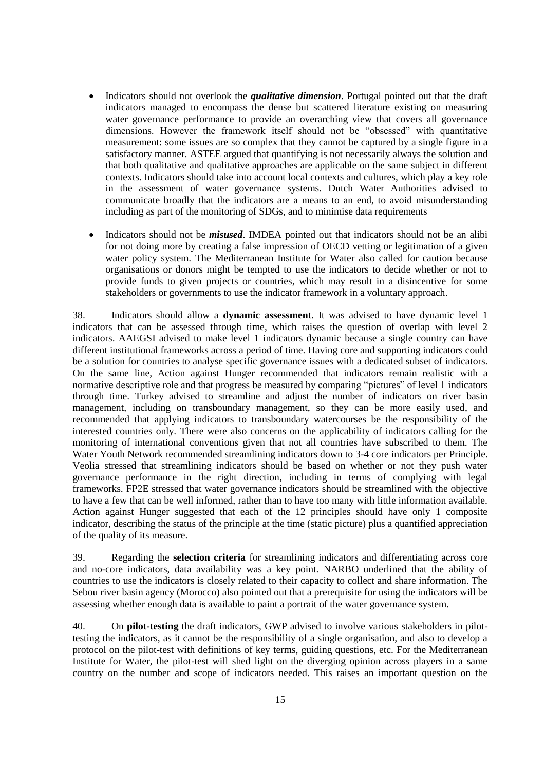- Indicators should not overlook the *qualitative dimension*. Portugal pointed out that the draft indicators managed to encompass the dense but scattered literature existing on measuring water governance performance to provide an overarching view that covers all governance dimensions. However the framework itself should not be "obsessed" with quantitative measurement: some issues are so complex that they cannot be captured by a single figure in a satisfactory manner. ASTEE argued that quantifying is not necessarily always the solution and that both qualitative and qualitative approaches are applicable on the same subject in different contexts. Indicators should take into account local contexts and cultures, which play a key role in the assessment of water governance systems. Dutch Water Authorities advised to communicate broadly that the indicators are a means to an end, to avoid misunderstanding including as part of the monitoring of SDGs, and to minimise data requirements
- Indicators should not be *misused*. IMDEA pointed out that indicators should not be an alibi for not doing more by creating a false impression of OECD vetting or legitimation of a given water policy system. The Mediterranean Institute for Water also called for caution because organisations or donors might be tempted to use the indicators to decide whether or not to provide funds to given projects or countries, which may result in a disincentive for some stakeholders or governments to use the indicator framework in a voluntary approach.

38. Indicators should allow a **dynamic assessment**. It was advised to have dynamic level 1 indicators that can be assessed through time, which raises the question of overlap with level 2 indicators. AAEGSI advised to make level 1 indicators dynamic because a single country can have different institutional frameworks across a period of time. Having core and supporting indicators could be a solution for countries to analyse specific governance issues with a dedicated subset of indicators. On the same line, Action against Hunger recommended that indicators remain realistic with a normative descriptive role and that progress be measured by comparing "pictures" of level 1 indicators through time. Turkey advised to streamline and adjust the number of indicators on river basin management, including on transboundary management, so they can be more easily used, and recommended that applying indicators to transboundary watercourses be the responsibility of the interested countries only. There were also concerns on the applicability of indicators calling for the monitoring of international conventions given that not all countries have subscribed to them. The Water Youth Network recommended streamlining indicators down to 3-4 core indicators per Principle. Veolia stressed that streamlining indicators should be based on whether or not they push water governance performance in the right direction, including in terms of complying with legal frameworks. FP2E stressed that water governance indicators should be streamlined with the objective to have a few that can be well informed, rather than to have too many with little information available. Action against Hunger suggested that each of the 12 principles should have only 1 composite indicator, describing the status of the principle at the time (static picture) plus a quantified appreciation of the quality of its measure.

39. Regarding the **selection criteria** for streamlining indicators and differentiating across core and no-core indicators, data availability was a key point. NARBO underlined that the ability of countries to use the indicators is closely related to their capacity to collect and share information. The Sebou river basin agency (Morocco) also pointed out that a prerequisite for using the indicators will be assessing whether enough data is available to paint a portrait of the water governance system.

40. On **pilot-testing** the draft indicators, GWP advised to involve various stakeholders in pilottesting the indicators, as it cannot be the responsibility of a single organisation, and also to develop a protocol on the pilot-test with definitions of key terms, guiding questions, etc. For the Mediterranean Institute for Water, the pilot-test will shed light on the diverging opinion across players in a same country on the number and scope of indicators needed. This raises an important question on the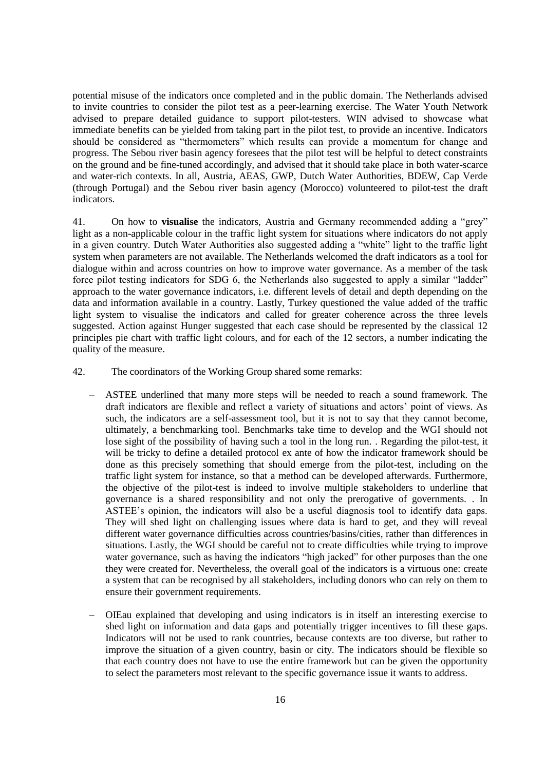potential misuse of the indicators once completed and in the public domain. The Netherlands advised to invite countries to consider the pilot test as a peer-learning exercise. The Water Youth Network advised to prepare detailed guidance to support pilot-testers. WIN advised to showcase what immediate benefits can be yielded from taking part in the pilot test, to provide an incentive. Indicators should be considered as "thermometers" which results can provide a momentum for change and progress. The Sebou river basin agency foresees that the pilot test will be helpful to detect constraints on the ground and be fine-tuned accordingly, and advised that it should take place in both water-scarce and water-rich contexts. In all, Austria, AEAS, GWP, Dutch Water Authorities, BDEW, Cap Verde (through Portugal) and the Sebou river basin agency (Morocco) volunteered to pilot-test the draft indicators.

41. On how to **visualise** the indicators, Austria and Germany recommended adding a "grey" light as a non-applicable colour in the traffic light system for situations where indicators do not apply in a given country. Dutch Water Authorities also suggested adding a "white" light to the traffic light system when parameters are not available. The Netherlands welcomed the draft indicators as a tool for dialogue within and across countries on how to improve water governance. As a member of the task force pilot testing indicators for SDG 6, the Netherlands also suggested to apply a similar "ladder" approach to the water governance indicators, i.e. different levels of detail and depth depending on the data and information available in a country. Lastly, Turkey questioned the value added of the traffic light system to visualise the indicators and called for greater coherence across the three levels suggested. Action against Hunger suggested that each case should be represented by the classical 12 principles pie chart with traffic light colours, and for each of the 12 sectors, a number indicating the quality of the measure.

- 42. The coordinators of the Working Group shared some remarks:
	- ASTEE underlined that many more steps will be needed to reach a sound framework. The draft indicators are flexible and reflect a variety of situations and actors' point of views. As such, the indicators are a self-assessment tool, but it is not to say that they cannot become, ultimately, a benchmarking tool. Benchmarks take time to develop and the WGI should not lose sight of the possibility of having such a tool in the long run. . Regarding the pilot-test, it will be tricky to define a detailed protocol ex ante of how the indicator framework should be done as this precisely something that should emerge from the pilot-test, including on the traffic light system for instance, so that a method can be developed afterwards. Furthermore, the objective of the pilot-test is indeed to involve multiple stakeholders to underline that governance is a shared responsibility and not only the prerogative of governments. . In ASTEE's opinion, the indicators will also be a useful diagnosis tool to identify data gaps. They will shed light on challenging issues where data is hard to get, and they will reveal different water governance difficulties across countries/basins/cities, rather than differences in situations. Lastly, the WGI should be careful not to create difficulties while trying to improve water governance, such as having the indicators "high jacked" for other purposes than the one they were created for. Nevertheless, the overall goal of the indicators is a virtuous one: create a system that can be recognised by all stakeholders, including donors who can rely on them to ensure their government requirements.
	- OIEau explained that developing and using indicators is in itself an interesting exercise to shed light on information and data gaps and potentially trigger incentives to fill these gaps. Indicators will not be used to rank countries, because contexts are too diverse, but rather to improve the situation of a given country, basin or city. The indicators should be flexible so that each country does not have to use the entire framework but can be given the opportunity to select the parameters most relevant to the specific governance issue it wants to address.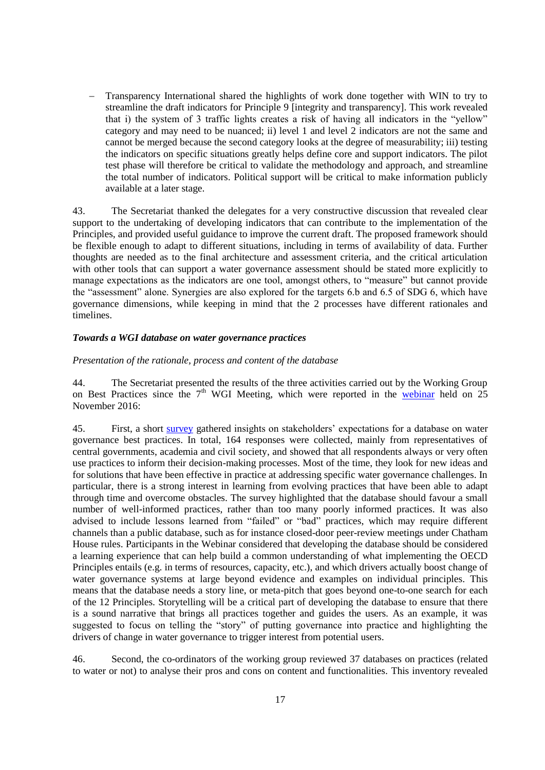Transparency International shared the highlights of work done together with WIN to try to streamline the draft indicators for Principle 9 [integrity and transparency]. This work revealed that i) the system of 3 traffic lights creates a risk of having all indicators in the "yellow" category and may need to be nuanced; ii) level 1 and level 2 indicators are not the same and cannot be merged because the second category looks at the degree of measurability; iii) testing the indicators on specific situations greatly helps define core and support indicators. The pilot test phase will therefore be critical to validate the methodology and approach, and streamline the total number of indicators. Political support will be critical to make information publicly available at a later stage.

43. The Secretariat thanked the delegates for a very constructive discussion that revealed clear support to the undertaking of developing indicators that can contribute to the implementation of the Principles, and provided useful guidance to improve the current draft. The proposed framework should be flexible enough to adapt to different situations, including in terms of availability of data. Further thoughts are needed as to the final architecture and assessment criteria, and the critical articulation with other tools that can support a water governance assessment should be stated more explicitly to manage expectations as the indicators are one tool, amongst others, to "measure" but cannot provide the "assessment" alone. Synergies are also explored for the targets 6.b and 6.5 of SDG 6, which have governance dimensions, while keeping in mind that the 2 processes have different rationales and timelines.

#### <span id="page-16-0"></span>*Towards a WGI database on water governance practices*

#### <span id="page-16-1"></span>*Presentation of the rationale, process and content of the database*

44. The Secretariat presented the results of the three activities carried out by the Working Group on Best Practices since the  $7<sup>th</sup>$  WGI Meeting, which were reported in the [webinar](http://www.oecd.org/gov/regional-policy/Summary-Webinar-BP-25Nov16.pdf) held on 25 November 2016:

45. First, a short [survey](http://www.oecd.org/gov/regional-policy/OECD-WGI-survey-best-practices.pdf) gathered insights on stakeholders' expectations for a database on water governance best practices. In total, 164 responses were collected, mainly from representatives of central governments, academia and civil society, and showed that all respondents always or very often use practices to inform their decision-making processes. Most of the time, they look for new ideas and for solutions that have been effective in practice at addressing specific water governance challenges. In particular, there is a strong interest in learning from evolving practices that have been able to adapt through time and overcome obstacles. The survey highlighted that the database should favour a small number of well-informed practices, rather than too many poorly informed practices. It was also advised to include lessons learned from "failed" or "bad" practices, which may require different channels than a public database, such as for instance closed-door peer-review meetings under Chatham House rules. Participants in the Webinar considered that developing the database should be considered a learning experience that can help build a common understanding of what implementing the OECD Principles entails (e.g. in terms of resources, capacity, etc.), and which drivers actually boost change of water governance systems at large beyond evidence and examples on individual principles. This means that the database needs a story line, or meta-pitch that goes beyond one-to-one search for each of the 12 Principles. Storytelling will be a critical part of developing the database to ensure that there is a sound narrative that brings all practices together and guides the users. As an example, it was suggested to focus on telling the "story" of putting governance into practice and highlighting the drivers of change in water governance to trigger interest from potential users.

46. Second, the co-ordinators of the working group reviewed 37 databases on practices (related to water or not) to analyse their pros and cons on content and functionalities. This inventory revealed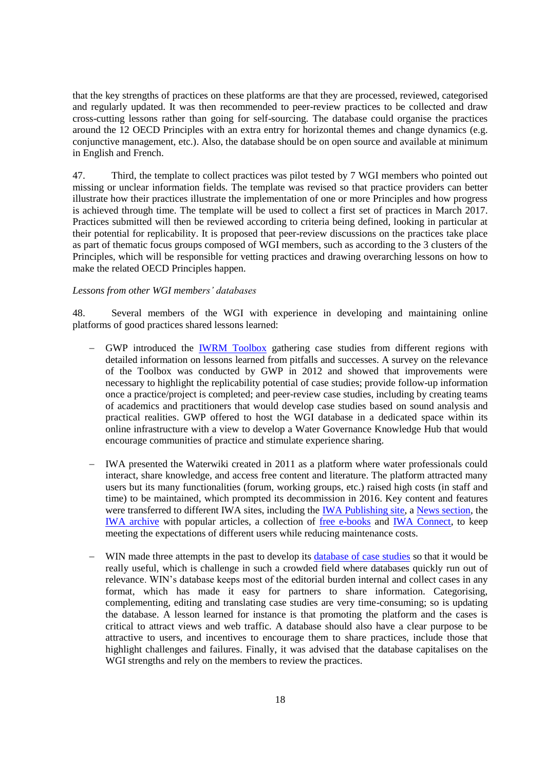that the key strengths of practices on these platforms are that they are processed, reviewed, categorised and regularly updated. It was then recommended to peer-review practices to be collected and draw cross-cutting lessons rather than going for self-sourcing. The database could organise the practices around the 12 OECD Principles with an extra entry for horizontal themes and change dynamics (e.g. conjunctive management, etc.). Also, the database should be on open source and available at minimum in English and French.

47. Third, the template to collect practices was pilot tested by 7 WGI members who pointed out missing or unclear information fields. The template was revised so that practice providers can better illustrate how their practices illustrate the implementation of one or more Principles and how progress is achieved through time. The template will be used to collect a first set of practices in March 2017. Practices submitted will then be reviewed according to criteria being defined, looking in particular at their potential for replicability. It is proposed that peer-review discussions on the practices take place as part of thematic focus groups composed of WGI members, such as according to the 3 clusters of the Principles, which will be responsible for vetting practices and drawing overarching lessons on how to make the related OECD Principles happen.

#### <span id="page-17-0"></span>*Lessons from other WGI members' databases*

48. Several members of the WGI with experience in developing and maintaining online platforms of good practices shared lessons learned:

- GWP introduced the [IWRM Toolbox](http://www.gwp.org/en/ToolBox/CASE-STUDIES/) gathering case studies from different regions with detailed information on lessons learned from pitfalls and successes. A survey on the relevance of the Toolbox was conducted by GWP in 2012 and showed that improvements were necessary to highlight the replicability potential of case studies; provide follow-up information once a practice/project is completed; and peer-review case studies, including by creating teams of academics and practitioners that would develop case studies based on sound analysis and practical realities. GWP offered to host the WGI database in a dedicated space within its online infrastructure with a view to develop a Water Governance Knowledge Hub that would encourage communities of practice and stimulate experience sharing.
- IWA presented the Waterwiki created in 2011 as a platform where water professionals could interact, share knowledge, and access free content and literature. The platform attracted many users but its many functionalities (forum, working groups, etc.) raised high costs (in staff and time) to be maintained, which prompted its decommission in 2016. Key content and features were transferred to different IWA sites, including the [IWA Publishing site,](http://www.iwapublishing.com/) a [News section,](http://www.iwapublishing.com/news) the [IWA archive](http://www.iwapublishing.com/news/categories/Classic-Papers-from-the-WaterWiki) with popular articles, a collection of [free e-books](http://www.iwapublishing.com/open-access-ebooks) and [IWA Connect,](https://iwa-connect.org/) to keep meeting the expectations of different users while reducing maintenance costs.
- WIN made three attempts in the past to develop its [database of case studies](http://www.waterintegritynetwork.net/good-practice/) so that it would be really useful, which is challenge in such a crowded field where databases quickly run out of relevance. WIN's database keeps most of the editorial burden internal and collect cases in any format, which has made it easy for partners to share information. Categorising, complementing, editing and translating case studies are very time-consuming; so is updating the database. A lesson learned for instance is that promoting the platform and the cases is critical to attract views and web traffic. A database should also have a clear purpose to be attractive to users, and incentives to encourage them to share practices, include those that highlight challenges and failures. Finally, it was advised that the database capitalises on the WGI strengths and rely on the members to review the practices.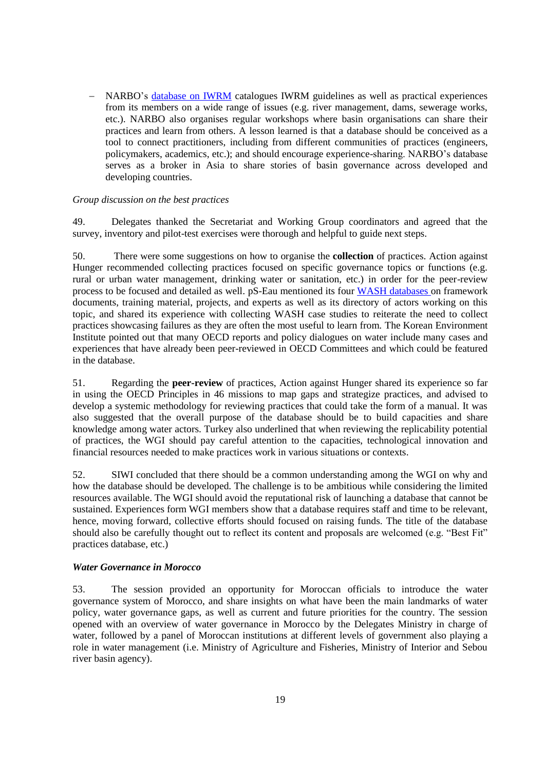NARBO's [database on IWRM](http://www.narbo.jp/data/04_ma.htm) catalogues IWRM guidelines as well as practical experiences from its members on a wide range of issues (e.g. river management, dams, sewerage works, etc.). NARBO also organises regular workshops where basin organisations can share their practices and learn from others. A lesson learned is that a database should be conceived as a tool to connect practitioners, including from different communities of practices (engineers, policymakers, academics, etc.); and should encourage experience-sharing. NARBO's database serves as a broker in Asia to share stories of basin governance across developed and developing countries.

## <span id="page-18-0"></span>*Group discussion on the best practices*

49. Delegates thanked the Secretariat and Working Group coordinators and agreed that the survey, inventory and pilot-test exercises were thorough and helpful to guide next steps.

50. There were some suggestions on how to organise the **collection** of practices. Action against Hunger recommended collecting practices focused on specific governance topics or functions (e.g. rural or urban water management, drinking water or sanitation, etc.) in order for the peer-review process to be focused and detailed as well. pS-Eau mentioned its four [WASH databases](http://www.pseau.org/outils/biblio/index.php?pgmpseau_id=64&l=fr) on framework documents, training material, projects, and experts as well as its directory of actors working on this topic, and shared its experience with collecting WASH case studies to reiterate the need to collect practices showcasing failures as they are often the most useful to learn from. The Korean Environment Institute pointed out that many OECD reports and policy dialogues on water include many cases and experiences that have already been peer-reviewed in OECD Committees and which could be featured in the database.

51. Regarding the **peer-review** of practices, Action against Hunger shared its experience so far in using the OECD Principles in 46 missions to map gaps and strategize practices, and advised to develop a systemic methodology for reviewing practices that could take the form of a manual. It was also suggested that the overall purpose of the database should be to build capacities and share knowledge among water actors. Turkey also underlined that when reviewing the replicability potential of practices, the WGI should pay careful attention to the capacities, technological innovation and financial resources needed to make practices work in various situations or contexts.

52. SIWI concluded that there should be a common understanding among the WGI on why and how the database should be developed. The challenge is to be ambitious while considering the limited resources available. The WGI should avoid the reputational risk of launching a database that cannot be sustained. Experiences form WGI members show that a database requires staff and time to be relevant, hence, moving forward, collective efforts should focused on raising funds. The title of the database should also be carefully thought out to reflect its content and proposals are welcomed (e.g. "Best Fit" practices database, etc.)

## <span id="page-18-1"></span>*Water Governance in Morocco*

53. The session provided an opportunity for Moroccan officials to introduce the water governance system of Morocco, and share insights on what have been the main landmarks of water policy, water governance gaps, as well as current and future priorities for the country. The session opened with an overview of water governance in Morocco by the Delegates Ministry in charge of water, followed by a panel of Moroccan institutions at different levels of government also playing a role in water management (i.e. Ministry of Agriculture and Fisheries, Ministry of Interior and Sebou river basin agency).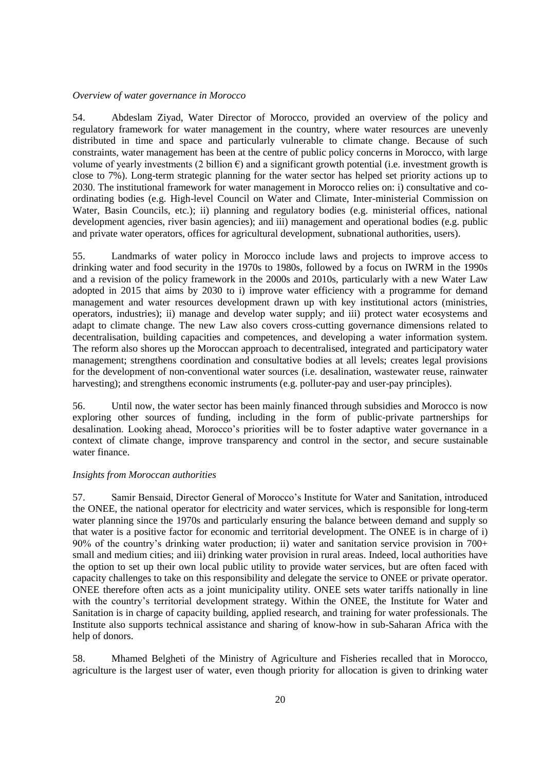#### <span id="page-19-0"></span>*Overview of water governance in Morocco*

54. Abdeslam Ziyad, Water Director of Morocco, provided an overview of the policy and regulatory framework for water management in the country, where water resources are unevenly distributed in time and space and particularly vulnerable to climate change. Because of such constraints, water management has been at the centre of public policy concerns in Morocco, with large volume of yearly investments (2 billion  $\epsilon$ ) and a significant growth potential (i.e. investment growth is close to 7%). Long-term strategic planning for the water sector has helped set priority actions up to 2030. The institutional framework for water management in Morocco relies on: i) consultative and coordinating bodies (e.g. High-level Council on Water and Climate, Inter-ministerial Commission on Water, Basin Councils, etc.); ii) planning and regulatory bodies (e.g. ministerial offices, national development agencies, river basin agencies); and iii) management and operational bodies (e.g. public and private water operators, offices for agricultural development, subnational authorities, users).

55. Landmarks of water policy in Morocco include laws and projects to improve access to drinking water and food security in the 1970s to 1980s, followed by a focus on IWRM in the 1990s and a revision of the policy framework in the 2000s and 2010s, particularly with a new Water Law adopted in 2015 that aims by 2030 to i) improve water efficiency with a programme for demand management and water resources development drawn up with key institutional actors (ministries, operators, industries); ii) manage and develop water supply; and iii) protect water ecosystems and adapt to climate change. The new Law also covers cross-cutting governance dimensions related to decentralisation, building capacities and competences, and developing a water information system. The reform also shores up the Moroccan approach to decentralised, integrated and participatory water management; strengthens coordination and consultative bodies at all levels; creates legal provisions for the development of non-conventional water sources (i.e. desalination, wastewater reuse, rainwater harvesting); and strengthens economic instruments (e.g. polluter-pay and user-pay principles).

56. Until now, the water sector has been mainly financed through subsidies and Morocco is now exploring other sources of funding, including in the form of public-private partnerships for desalination. Looking ahead, Morocco's priorities will be to foster adaptive water governance in a context of climate change, improve transparency and control in the sector, and secure sustainable water finance.

### <span id="page-19-1"></span>*Insights from Moroccan authorities*

57. Samir Bensaid, Director General of Morocco's Institute for Water and Sanitation, introduced the ONEE, the national operator for electricity and water services, which is responsible for long-term water planning since the 1970s and particularly ensuring the balance between demand and supply so that water is a positive factor for economic and territorial development. The ONEE is in charge of i) 90% of the country's drinking water production; ii) water and sanitation service provision in 700+ small and medium cities; and iii) drinking water provision in rural areas. Indeed, local authorities have the option to set up their own local public utility to provide water services, but are often faced with capacity challenges to take on this responsibility and delegate the service to ONEE or private operator. ONEE therefore often acts as a joint municipality utility. ONEE sets water tariffs nationally in line with the country's territorial development strategy. Within the ONEE, the Institute for Water and Sanitation is in charge of capacity building, applied research, and training for water professionals. The Institute also supports technical assistance and sharing of know-how in sub-Saharan Africa with the help of donors.

58. Mhamed Belgheti of the Ministry of Agriculture and Fisheries recalled that in Morocco, agriculture is the largest user of water, even though priority for allocation is given to drinking water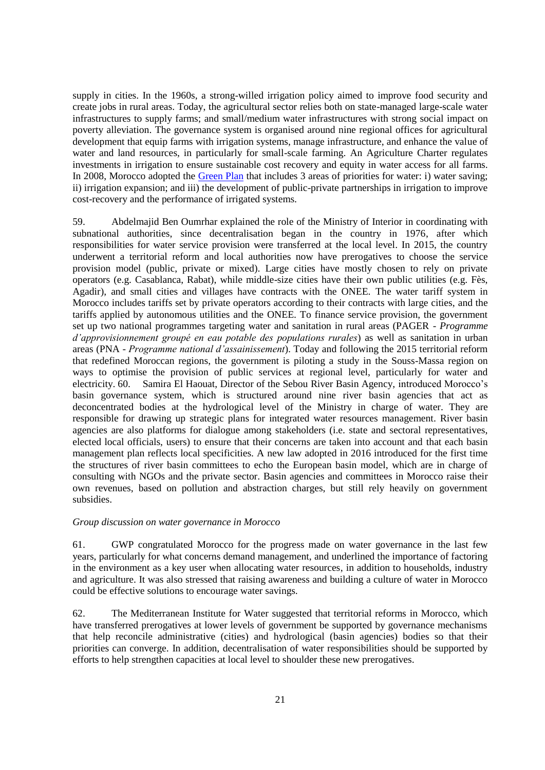supply in cities. In the 1960s, a strong-willed irrigation policy aimed to improve food security and create jobs in rural areas. Today, the agricultural sector relies both on state-managed large-scale water infrastructures to supply farms; and small/medium water infrastructures with strong social impact on poverty alleviation. The governance system is organised around nine regional offices for agricultural development that equip farms with irrigation systems, manage infrastructure, and enhance the value of water and land resources, in particularly for small-scale farming. An Agriculture Charter regulates investments in irrigation to ensure sustainable cost recovery and equity in water access for all farms. In 2008, Morocco adopted the [Green Plan](http://www.agriculture.gov.ma/pages/la-strategie) that includes 3 areas of priorities for water: i) water saving; ii) irrigation expansion; and iii) the development of public-private partnerships in irrigation to improve cost-recovery and the performance of irrigated systems.

59. Abdelmajid Ben Oumrhar explained the role of the Ministry of Interior in coordinating with subnational authorities, since decentralisation began in the country in 1976, after which responsibilities for water service provision were transferred at the local level. In 2015, the country underwent a territorial reform and local authorities now have prerogatives to choose the service provision model (public, private or mixed). Large cities have mostly chosen to rely on private operators (e.g. Casablanca, Rabat), while middle-size cities have their own public utilities (e.g. Fès, Agadir), and small cities and villages have contracts with the ONEE. The water tariff system in Morocco includes tariffs set by private operators according to their contracts with large cities, and the tariffs applied by autonomous utilities and the ONEE. To finance service provision, the government set up two national programmes targeting water and sanitation in rural areas (PAGER - *Programme d'approvisionnement groupé en eau potable des populations rurales*) as well as sanitation in urban areas (PNA - *Programme national d'assainissement*). Today and following the 2015 territorial reform that redefined Moroccan regions, the government is piloting a study in the Souss-Massa region on ways to optimise the provision of public services at regional level, particularly for water and electricity. 60. Samira El Haouat, Director of the Sebou River Basin Agency, introduced Morocco's basin governance system, which is structured around nine river basin agencies that act as deconcentrated bodies at the hydrological level of the Ministry in charge of water. They are responsible for drawing up strategic plans for integrated water resources management. River basin agencies are also platforms for dialogue among stakeholders (i.e. state and sectoral representatives, elected local officials, users) to ensure that their concerns are taken into account and that each basin management plan reflects local specificities. A new law adopted in 2016 introduced for the first time the structures of river basin committees to echo the European basin model, which are in charge of consulting with NGOs and the private sector. Basin agencies and committees in Morocco raise their own revenues, based on pollution and abstraction charges, but still rely heavily on government subsidies.

#### <span id="page-20-0"></span>*Group discussion on water governance in Morocco*

61. GWP congratulated Morocco for the progress made on water governance in the last few years, particularly for what concerns demand management, and underlined the importance of factoring in the environment as a key user when allocating water resources, in addition to households, industry and agriculture. It was also stressed that raising awareness and building a culture of water in Morocco could be effective solutions to encourage water savings.

62. The Mediterranean Institute for Water suggested that territorial reforms in Morocco, which have transferred prerogatives at lower levels of government be supported by governance mechanisms that help reconcile administrative (cities) and hydrological (basin agencies) bodies so that their priorities can converge. In addition, decentralisation of water responsibilities should be supported by efforts to help strengthen capacities at local level to shoulder these new prerogatives.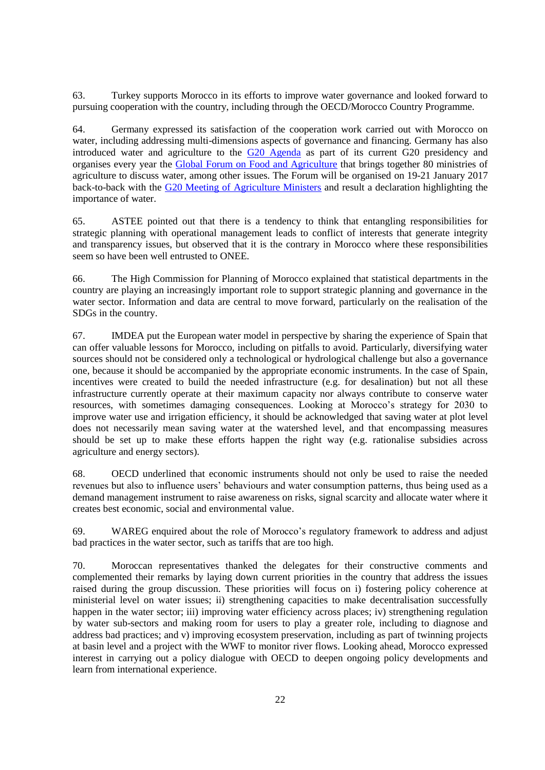63. Turkey supports Morocco in its efforts to improve water governance and looked forward to pursuing cooperation with the country, including through the OECD/Morocco Country Programme.

64. Germany expressed its satisfaction of the cooperation work carried out with Morocco on water, including addressing multi-dimensions aspects of governance and financing. Germany has also introduced water and agriculture to the [G20 Agenda](https://www.g20.org/Webs/G20/EN/G20/Agenda/agenda_node.html) as part of its current G20 presidency and organises every year the [Global Forum on Food and Agriculture](http://www.gffa-berlin.de/en/) that brings together 80 ministries of agriculture to discuss water, among other issues. The Forum will be organised on 19-21 January 2017 back-to-back with the [G20 Meeting of Agriculture Ministers](http://www.g20.utoronto.ca/agriculture/) and result a declaration highlighting the importance of water.

65. ASTEE pointed out that there is a tendency to think that entangling responsibilities for strategic planning with operational management leads to conflict of interests that generate integrity and transparency issues, but observed that it is the contrary in Morocco where these responsibilities seem so have been well entrusted to ONEE.

66. The High Commission for Planning of Morocco explained that statistical departments in the country are playing an increasingly important role to support strategic planning and governance in the water sector. Information and data are central to move forward, particularly on the realisation of the SDGs in the country.

67. IMDEA put the European water model in perspective by sharing the experience of Spain that can offer valuable lessons for Morocco, including on pitfalls to avoid. Particularly, diversifying water sources should not be considered only a technological or hydrological challenge but also a governance one, because it should be accompanied by the appropriate economic instruments. In the case of Spain, incentives were created to build the needed infrastructure (e.g. for desalination) but not all these infrastructure currently operate at their maximum capacity nor always contribute to conserve water resources, with sometimes damaging consequences. Looking at Morocco's strategy for 2030 to improve water use and irrigation efficiency, it should be acknowledged that saving water at plot level does not necessarily mean saving water at the watershed level, and that encompassing measures should be set up to make these efforts happen the right way (e.g. rationalise subsidies across agriculture and energy sectors).

68. OECD underlined that economic instruments should not only be used to raise the needed revenues but also to influence users' behaviours and water consumption patterns, thus being used as a demand management instrument to raise awareness on risks, signal scarcity and allocate water where it creates best economic, social and environmental value.

69. WAREG enquired about the role of Morocco's regulatory framework to address and adjust bad practices in the water sector, such as tariffs that are too high.

70. Moroccan representatives thanked the delegates for their constructive comments and complemented their remarks by laying down current priorities in the country that address the issues raised during the group discussion. These priorities will focus on i) fostering policy coherence at ministerial level on water issues; ii) strengthening capacities to make decentralisation successfully happen in the water sector; iii) improving water efficiency across places; iv) strengthening regulation by water sub-sectors and making room for users to play a greater role, including to diagnose and address bad practices; and v) improving ecosystem preservation, including as part of twinning projects at basin level and a project with the WWF to monitor river flows. Looking ahead, Morocco expressed interest in carrying out a policy dialogue with OECD to deepen ongoing policy developments and learn from international experience.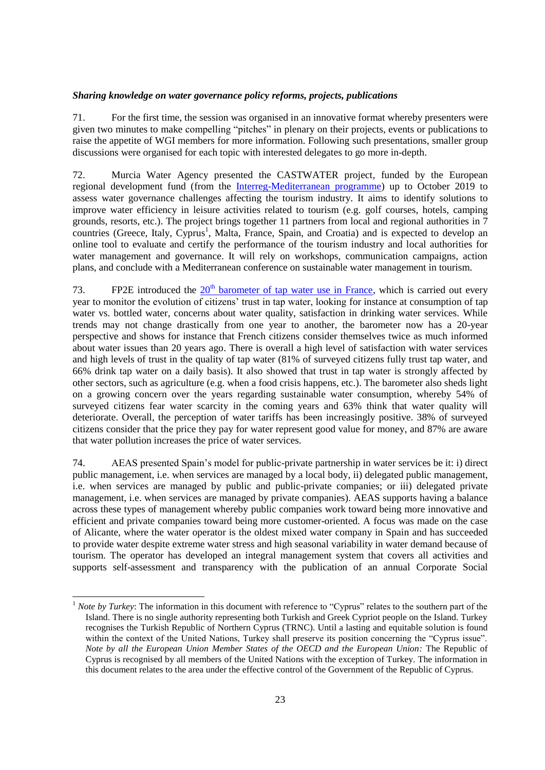### <span id="page-22-0"></span>*Sharing knowledge on water governance policy reforms, projects, publications*

71. For the first time, the session was organised in an innovative format whereby presenters were given two minutes to make compelling "pitches" in plenary on their projects, events or publications to raise the appetite of WGI members for more information. Following such presentations, smaller group discussions were organised for each topic with interested delegates to go more in-depth.

72. Murcia Water Agency presented the CASTWATER project, funded by the European regional development fund (from the [Interreg-Mediterranean programme\)](http://interreg-med.eu/fr/accueil/) up to October 2019 to assess water governance challenges affecting the tourism industry. It aims to identify solutions to improve water efficiency in leisure activities related to tourism (e.g. golf courses, hotels, camping grounds, resorts, etc.). The project brings together 11 partners from local and regional authorities in 7 countries (Greece, Italy, Cyprus<sup>1</sup>, Malta, France, Spain, and Croatia) and is expected to develop an online tool to evaluate and certify the performance of the tourism industry and local authorities for water management and governance. It will rely on workshops, communication campaigns, action plans, and conclude with a Mediterranean conference on sustainable water management in tourism.

73. FP2E introduced the  $20<sup>th</sup>$  [barometer of tap water use in France,](http://www.cieau.com/images/presse/CP-baro-2016.pdf) which is carried out every year to monitor the evolution of citizens' trust in tap water, looking for instance at consumption of tap water vs. bottled water, concerns about water quality, satisfaction in drinking water services. While trends may not change drastically from one year to another, the barometer now has a 20-year perspective and shows for instance that French citizens consider themselves twice as much informed about water issues than 20 years ago. There is overall a high level of satisfaction with water services and high levels of trust in the quality of tap water (81% of surveyed citizens fully trust tap water, and 66% drink tap water on a daily basis). It also showed that trust in tap water is strongly affected by other sectors, such as agriculture (e.g. when a food crisis happens, etc.). The barometer also sheds light on a growing concern over the years regarding sustainable water consumption, whereby 54% of surveyed citizens fear water scarcity in the coming years and 63% think that water quality will deteriorate. Overall, the perception of water tariffs has been increasingly positive. 38% of surveyed citizens consider that the price they pay for water represent good value for money, and 87% are aware that water pollution increases the price of water services.

74. AEAS presented Spain's model for public-private partnership in water services be it: i) direct public management, i.e. when services are managed by a local body, ii) delegated public management, i.e. when services are managed by public and public-private companies; or iii) delegated private management, i.e. when services are managed by private companies). AEAS supports having a balance across these types of management whereby public companies work toward being more innovative and efficient and private companies toward being more customer-oriented. A focus was made on the case of Alicante, where the water operator is the oldest mixed water company in Spain and has succeeded to provide water despite extreme water stress and high seasonal variability in water demand because of tourism. The operator has developed an integral management system that covers all activities and supports self-assessment and transparency with the publication of an annual Corporate Social

 $\overline{a}$ 

<sup>&</sup>lt;sup>1</sup> *Note by Turkey*: The information in this document with reference to "Cyprus" relates to the southern part of the Island. There is no single authority representing both Turkish and Greek Cypriot people on the Island. Turkey recognises the Turkish Republic of Northern Cyprus (TRNC). Until a lasting and equitable solution is found within the context of the United Nations, Turkey shall preserve its position concerning the "Cyprus issue". *Note by all the European Union Member States of the OECD and the European Union:* The Republic of Cyprus is recognised by all members of the United Nations with the exception of Turkey. The information in this document relates to the area under the effective control of the Government of the Republic of Cyprus.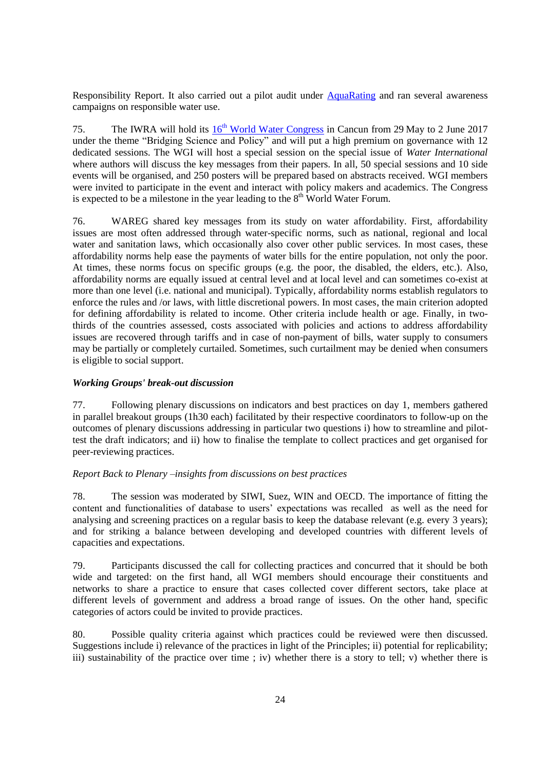Responsibility Report. It also carried out a pilot audit under [AquaRating](http://www.aquarating.org/en/) and ran several awareness campaigns on responsible water use.

75. The IWRA will hold its  $16<sup>th</sup>$  [World Water Congress](http://worldwatercongress.com/) in Cancun from 29 May to 2 June 2017 under the theme "Bridging Science and Policy" and will put a high premium on governance with 12 dedicated sessions. The WGI will host a special session on the special issue of *Water International* where authors will discuss the key messages from their papers. In all, 50 special sessions and 10 side events will be organised, and 250 posters will be prepared based on abstracts received. WGI members were invited to participate in the event and interact with policy makers and academics. The Congress is expected to be a milestone in the year leading to the  $8<sup>th</sup>$  World Water Forum.

76. WAREG shared key messages from its study on water affordability. First, affordability issues are most often addressed through water-specific norms, such as national, regional and local water and sanitation laws, which occasionally also cover other public services. In most cases, these affordability norms help ease the payments of water bills for the entire population, not only the poor. At times, these norms focus on specific groups (e.g. the poor, the disabled, the elders, etc.). Also, affordability norms are equally issued at central level and at local level and can sometimes co-exist at more than one level (i.e. national and municipal). Typically, affordability norms establish regulators to enforce the rules and /or laws, with little discretional powers. In most cases, the main criterion adopted for defining affordability is related to income. Other criteria include health or age. Finally, in twothirds of the countries assessed, costs associated with policies and actions to address affordability issues are recovered through tariffs and in case of non-payment of bills, water supply to consumers may be partially or completely curtailed. Sometimes, such curtailment may be denied when consumers is eligible to social support.

## <span id="page-23-0"></span>*Working Groups' break-out discussion*

77. Following plenary discussions on indicators and best practices on day 1, members gathered in parallel breakout groups (1h30 each) facilitated by their respective coordinators to follow-up on the outcomes of plenary discussions addressing in particular two questions i) how to streamline and pilottest the draft indicators; and ii) how to finalise the template to collect practices and get organised for peer-reviewing practices.

#### <span id="page-23-1"></span>*Report Back to Plenary –insights from discussions on best practices*

78. The session was moderated by SIWI, Suez, WIN and OECD. The importance of fitting the content and functionalities of database to users' expectations was recalled as well as the need for analysing and screening practices on a regular basis to keep the database relevant (e.g. every 3 years); and for striking a balance between developing and developed countries with different levels of capacities and expectations.

79. Participants discussed the call for collecting practices and concurred that it should be both wide and targeted: on the first hand, all WGI members should encourage their constituents and networks to share a practice to ensure that cases collected cover different sectors, take place at different levels of government and address a broad range of issues. On the other hand, specific categories of actors could be invited to provide practices.

80. Possible quality criteria against which practices could be reviewed were then discussed. Suggestions include i) relevance of the practices in light of the Principles; ii) potential for replicability; iii) sustainability of the practice over time ; iv) whether there is a story to tell; v) whether there is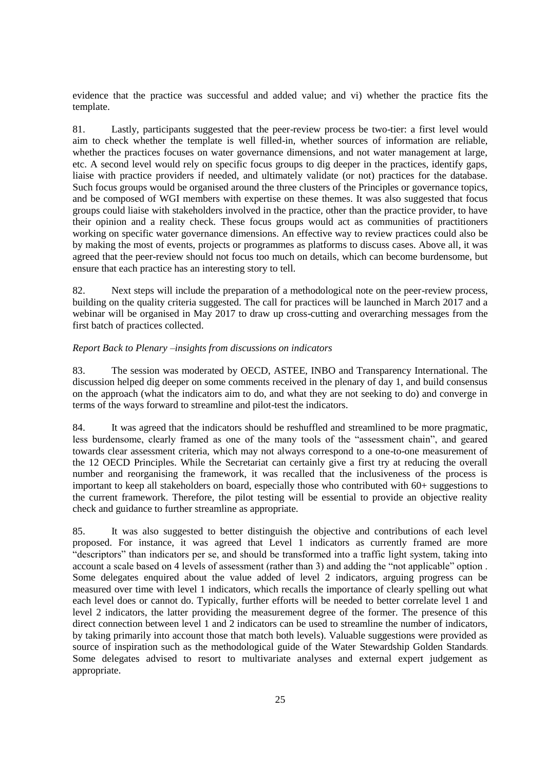evidence that the practice was successful and added value; and vi) whether the practice fits the template.

81. Lastly, participants suggested that the peer-review process be two-tier: a first level would aim to check whether the template is well filled-in, whether sources of information are reliable, whether the practices focuses on water governance dimensions, and not water management at large, etc. A second level would rely on specific focus groups to dig deeper in the practices, identify gaps, liaise with practice providers if needed, and ultimately validate (or not) practices for the database. Such focus groups would be organised around the three clusters of the Principles or governance topics, and be composed of WGI members with expertise on these themes. It was also suggested that focus groups could liaise with stakeholders involved in the practice, other than the practice provider, to have their opinion and a reality check. These focus groups would act as communities of practitioners working on specific water governance dimensions. An effective way to review practices could also be by making the most of events, projects or programmes as platforms to discuss cases. Above all, it was agreed that the peer-review should not focus too much on details, which can become burdensome, but ensure that each practice has an interesting story to tell.

82. Next steps will include the preparation of a methodological note on the peer-review process, building on the quality criteria suggested. The call for practices will be launched in March 2017 and a webinar will be organised in May 2017 to draw up cross-cutting and overarching messages from the first batch of practices collected.

## <span id="page-24-0"></span>*Report Back to Plenary –insights from discussions on indicators*

83. The session was moderated by OECD, ASTEE, INBO and Transparency International. The discussion helped dig deeper on some comments received in the plenary of day 1, and build consensus on the approach (what the indicators aim to do, and what they are not seeking to do) and converge in terms of the ways forward to streamline and pilot-test the indicators.

84. It was agreed that the indicators should be reshuffled and streamlined to be more pragmatic, less burdensome, clearly framed as one of the many tools of the "assessment chain", and geared towards clear assessment criteria, which may not always correspond to a one-to-one measurement of the 12 OECD Principles. While the Secretariat can certainly give a first try at reducing the overall number and reorganising the framework, it was recalled that the inclusiveness of the process is important to keep all stakeholders on board, especially those who contributed with 60+ suggestions to the current framework. Therefore, the pilot testing will be essential to provide an objective reality check and guidance to further streamline as appropriate.

85. It was also suggested to better distinguish the objective and contributions of each level proposed. For instance, it was agreed that Level 1 indicators as currently framed are more "descriptors" than indicators per se, and should be transformed into a traffic light system, taking into account a scale based on 4 levels of assessment (rather than 3) and adding the "not applicable" option . Some delegates enquired about the value added of level 2 indicators, arguing progress can be measured over time with level 1 indicators, which recalls the importance of clearly spelling out what each level does or cannot do. Typically, further efforts will be needed to better correlate level 1 and level 2 indicators, the latter providing the measurement degree of the former. The presence of this direct connection between level 1 and 2 indicators can be used to streamline the number of indicators, by taking primarily into account those that match both levels). Valuable suggestions were provided as source of inspiration such as the methodological guide of the Water Stewardship Golden Standards. Some delegates advised to resort to multivariate analyses and external expert judgement as appropriate.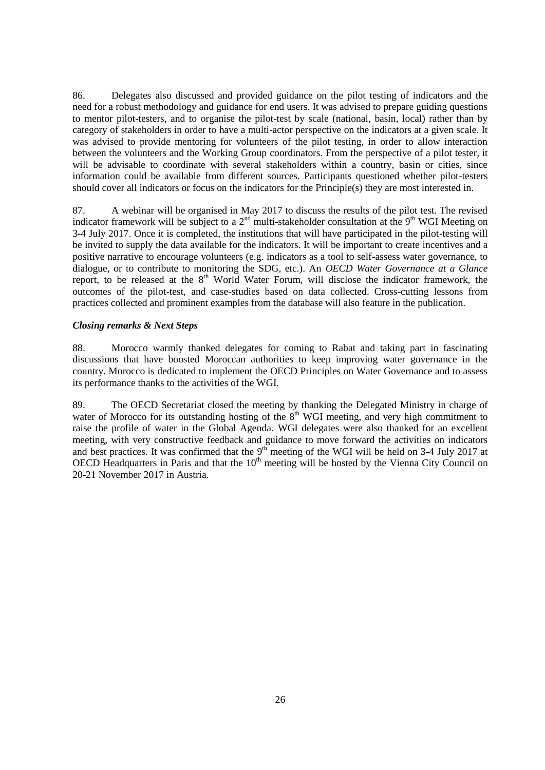86. Delegates also discussed and provided guidance on the pilot testing of indicators and the need for a robust methodology and guidance for end users. It was advised to prepare guiding questions to mentor pilot-testers, and to organise the pilot-test by scale (national, basin, local) rather than by category of stakeholders in order to have a multi-actor perspective on the indicators at a given scale. It was advised to provide mentoring for volunteers of the pilot testing, in order to allow interaction between the volunteers and the Working Group coordinators. From the perspective of a pilot tester, it will be advisable to coordinate with several stakeholders within a country, basin or cities, since information could be available from different sources. Participants questioned whether pilot-testers should cover all indicators or focus on the indicators for the Principle(s) they are most interested in.

87. A webinar will be organised in May 2017 to discuss the results of the pilot test. The revised indicator framework will be subject to a  $2<sup>nd</sup>$  multi-stakeholder consultation at the 9<sup>th</sup> WGI Meeting on 3-4 July 2017. Once it is completed, the institutions that will have participated in the pilot-testing will be invited to supply the data available for the indicators. It will be important to create incentives and a positive narrative to encourage volunteers (e.g. indicators as a tool to self-assess water governance, to dialogue, or to contribute to monitoring the SDG, etc.). An *OECD Water Governance at a Glance* report, to be released at the  $8<sup>th</sup>$  World Water Forum, will disclose the indicator framework, the outcomes of the pilot-test, and case-studies based on data collected. Cross-cutting lessons from practices collected and prominent examples from the database will also feature in the publication.

## <span id="page-25-0"></span>*Closing remarks & Next Steps*

88. Morocco warmly thanked delegates for coming to Rabat and taking part in fascinating discussions that have boosted Moroccan authorities to keep improving water governance in the country. Morocco is dedicated to implement the OECD Principles on Water Governance and to assess its performance thanks to the activities of the WGI.

89. The OECD Secretariat closed the meeting by thanking the Delegated Ministry in charge of water of Morocco for its outstanding hosting of the  $8<sup>th</sup>$  WGI meeting, and very high commitment to raise the profile of water in the Global Agenda. WGI delegates were also thanked for an excellent meeting, with very constructive feedback and guidance to move forward the activities on indicators and best practices. It was confirmed that the  $9<sup>th</sup>$  meeting of the WGI will be held on 3-4 July 2017 at OECD Headquarters in Paris and that the 10<sup>th</sup> meeting will be hosted by the Vienna City Council on 20-21 November 2017 in Austria.